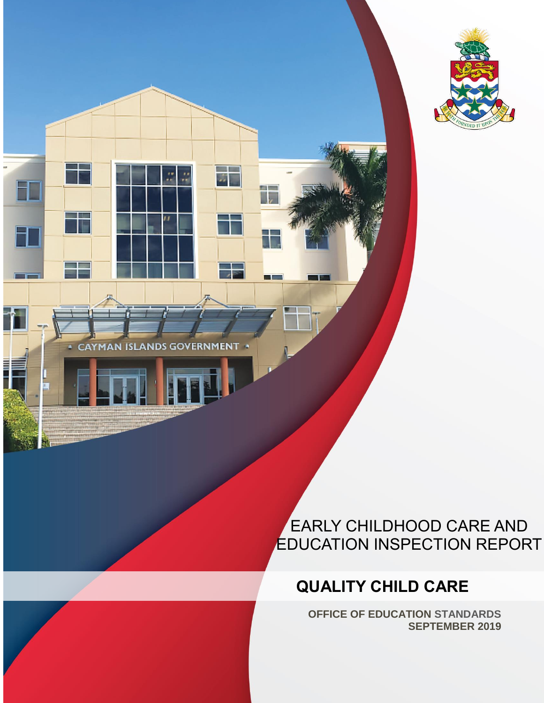

**CAYMAN ISLANDS GOVERNMENT** 

FT

A

# EARLY CHILDHOOD CARE AND EDUCATION INSPECTION REPORT

# **QUALITY CHILD CARE**

EARLY CHILDHOOD CARE AND EDUCATION INSPECTION REPORT | QUALITY CHILD CARE | SEPTEMBER 2019 0

**Talkin** 

**COL** 

**OFFICE OF EDUCATION STANDARDS SEPTEMBER 2019**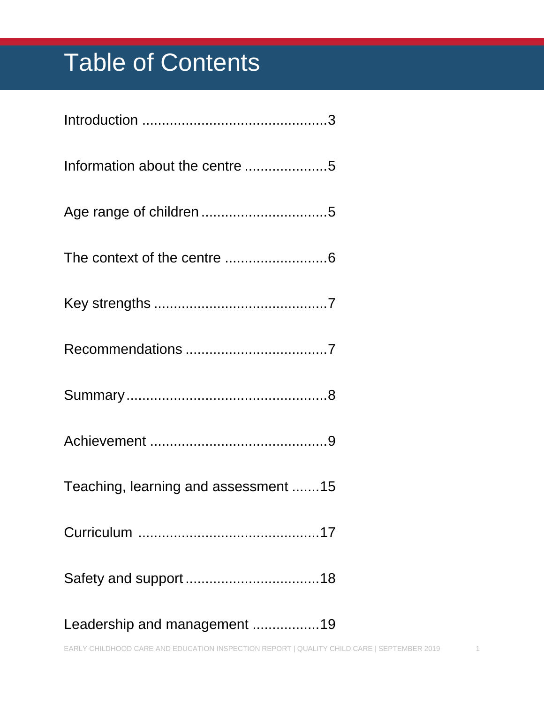# Table of Contents

| Teaching, learning and assessment 15 |
|--------------------------------------|
|                                      |
|                                      |
|                                      |

[Leadership and management](#page-19-0) .................19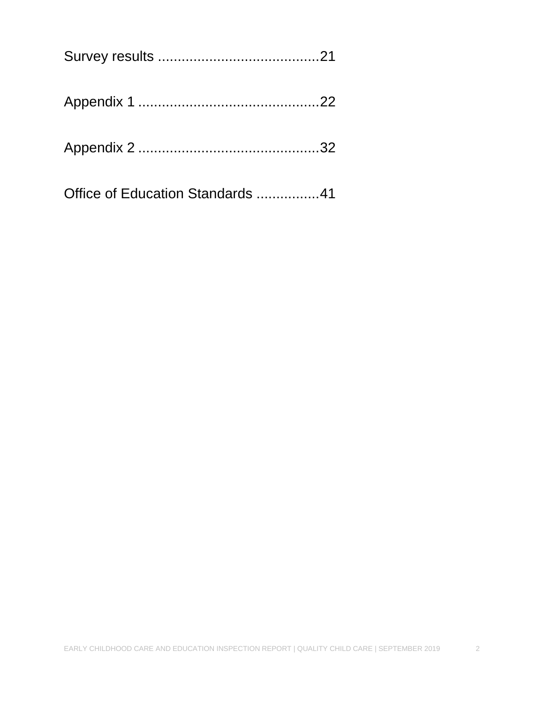| Office of Education Standards 41 |  |
|----------------------------------|--|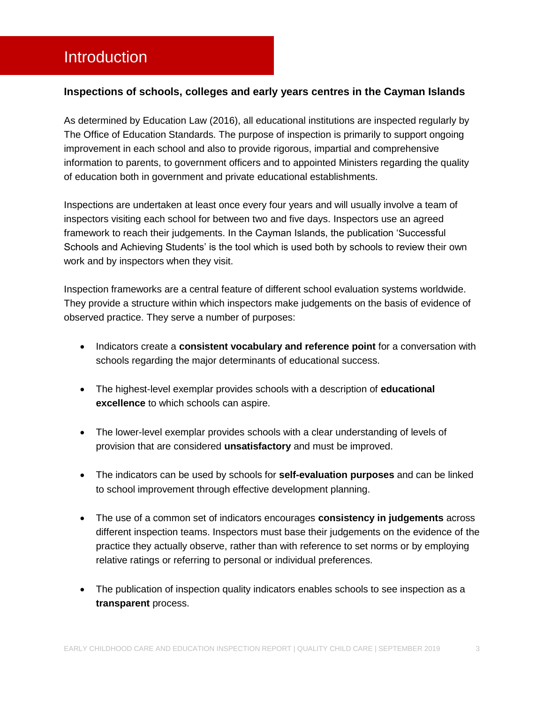### <span id="page-3-0"></span>Introduction

#### **Inspections of schools, colleges and early years centres in the Cayman Islands**

As determined by Education Law (2016), all educational institutions are inspected regularly by The Office of Education Standards. The purpose of inspection is primarily to support ongoing improvement in each school and also to provide rigorous, impartial and comprehensive information to parents, to government officers and to appointed Ministers regarding the quality of education both in government and private educational establishments.

Inspections are undertaken at least once every four years and will usually involve a team of inspectors visiting each school for between two and five days. Inspectors use an agreed framework to reach their judgements. In the Cayman Islands, the publication 'Successful Schools and Achieving Students' is the tool which is used both by schools to review their own work and by inspectors when they visit.

Inspection frameworks are a central feature of different school evaluation systems worldwide. They provide a structure within which inspectors make judgements on the basis of evidence of observed practice. They serve a number of purposes:

- **Indicators create a consistent vocabulary and reference point for a conversation with** schools regarding the major determinants of educational success.
- The highest-level exemplar provides schools with a description of **educational excellence** to which schools can aspire.
- The lower-level exemplar provides schools with a clear understanding of levels of provision that are considered **unsatisfactory** and must be improved.
- The indicators can be used by schools for **self-evaluation purposes** and can be linked to school improvement through effective development planning.
- The use of a common set of indicators encourages **consistency in judgements** across different inspection teams. Inspectors must base their judgements on the evidence of the practice they actually observe, rather than with reference to set norms or by employing relative ratings or referring to personal or individual preferences.
- The publication of inspection quality indicators enables schools to see inspection as a **transparent** process.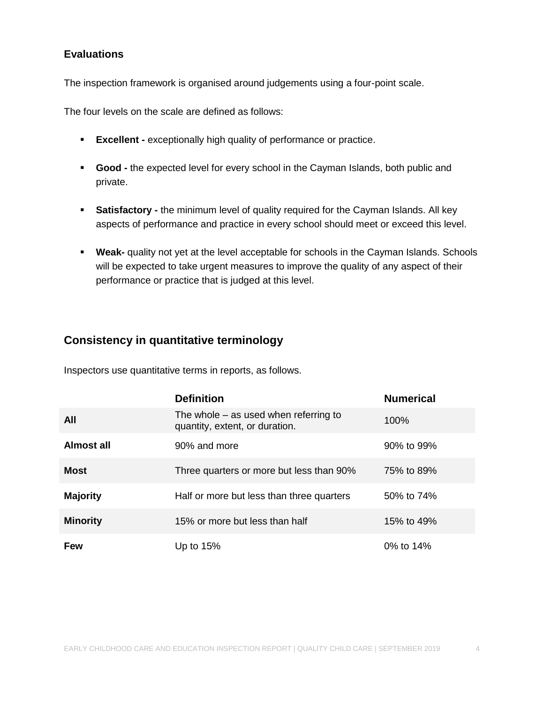#### **Evaluations**

The inspection framework is organised around judgements using a four-point scale.

The four levels on the scale are defined as follows:

- **Excellent -** exceptionally high quality of performance or practice.
- **Good -** the expected level for every school in the Cayman Islands, both public and private.
- **Satisfactory -** the minimum level of quality required for the Cayman Islands. All key aspects of performance and practice in every school should meet or exceed this level.
- **Weak-** quality not yet at the level acceptable for schools in the Cayman Islands. Schools will be expected to take urgent measures to improve the quality of any aspect of their performance or practice that is judged at this level.

#### **Consistency in quantitative terminology**

Inspectors use quantitative terms in reports, as follows.

|                 | <b>Definition</b>                                                         | <b>Numerical</b> |
|-----------------|---------------------------------------------------------------------------|------------------|
| <b>All</b>      | The whole $-$ as used when referring to<br>quantity, extent, or duration. | 100%             |
| Almost all      | 90% and more                                                              | 90% to 99%       |
| <b>Most</b>     | Three quarters or more but less than 90%                                  | 75% to 89%       |
| <b>Majority</b> | Half or more but less than three quarters                                 | 50% to 74%       |
| <b>Minority</b> | 15% or more but less than half                                            | 15% to 49%       |
| <b>Few</b>      | Up to $15%$                                                               | 0% to 14%        |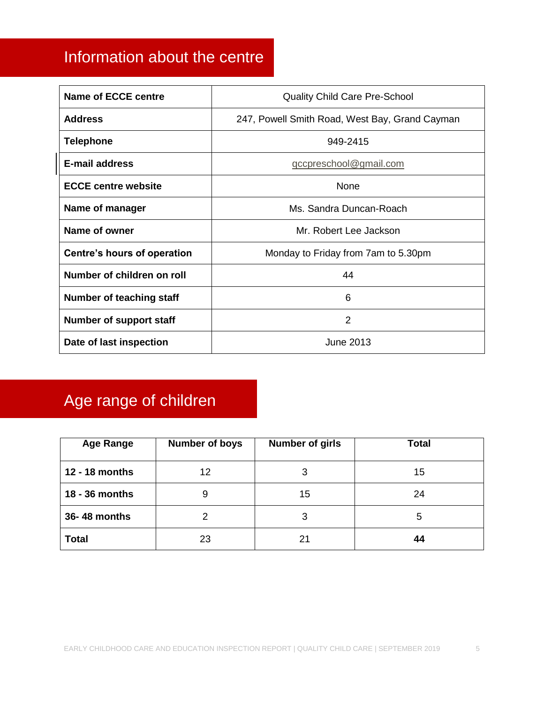## <span id="page-5-0"></span>Information about the centre

| <b>Name of ECCE centre</b>      | <b>Quality Child Care Pre-School</b>           |
|---------------------------------|------------------------------------------------|
| <b>Address</b>                  | 247, Powell Smith Road, West Bay, Grand Cayman |
| <b>Telephone</b>                | 949-2415                                       |
| <b>E-mail address</b>           | gccpreschool@gmail.com                         |
| <b>ECCE centre website</b>      | None                                           |
| Name of manager                 | Ms. Sandra Duncan-Roach                        |
| Name of owner                   | Mr. Robert Lee Jackson                         |
| Centre's hours of operation     | Monday to Friday from 7am to 5.30pm            |
| Number of children on roll      | 44                                             |
| <b>Number of teaching staff</b> | 6                                              |
| Number of support staff         | 2                                              |
| Date of last inspection         | <b>June 2013</b>                               |

# <span id="page-5-1"></span>Age range of children

| <b>Age Range</b> | <b>Number of boys</b> | <b>Number of girls</b> | <b>Total</b> |
|------------------|-----------------------|------------------------|--------------|
| 12 - 18 months   | 12                    | 3                      | 15           |
| 18 - 36 months   | 9                     | 15                     | 24           |
| 36-48 months     |                       | 3                      | 5            |
| <b>Total</b>     | 23                    | 21                     | 44           |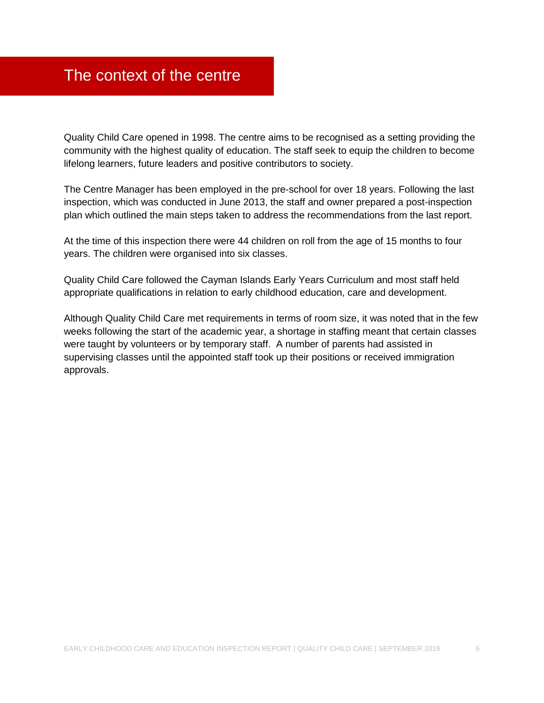### <span id="page-6-0"></span>The context of the centre

Quality Child Care opened in 1998. The centre aims to be recognised as a setting providing the community with the highest quality of education. The staff seek to equip the children to become lifelong learners, future leaders and positive contributors to society.

The Centre Manager has been employed in the pre-school for over 18 years. Following the last inspection, which was conducted in June 2013, the staff and owner prepared a post-inspection plan which outlined the main steps taken to address the recommendations from the last report.

At the time of this inspection there were 44 children on roll from the age of 15 months to four years. The children were organised into six classes.

Quality Child Care followed the Cayman Islands Early Years Curriculum and most staff held appropriate qualifications in relation to early childhood education, care and development.

Although Quality Child Care met requirements in terms of room size, it was noted that in the few weeks following the start of the academic year, a shortage in staffing meant that certain classes were taught by volunteers or by temporary staff. A number of parents had assisted in supervising classes until the appointed staff took up their positions or received immigration approvals.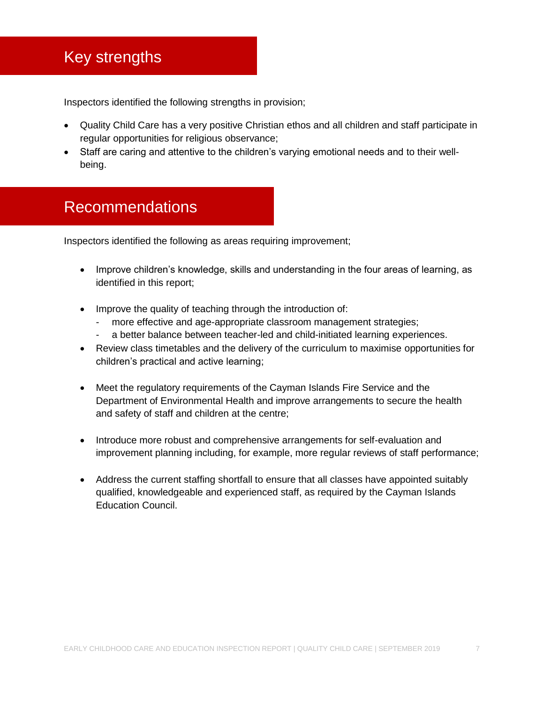### <span id="page-7-0"></span>Key strengths

Inspectors identified the following strengths in provision;

- Quality Child Care has a very positive Christian ethos and all children and staff participate in regular opportunities for religious observance;
- Staff are caring and attentive to the children's varying emotional needs and to their wellbeing.

### <span id="page-7-1"></span>Recommendations

Inspectors identified the following as areas requiring improvement;

- Improve children's knowledge, skills and understanding in the four areas of learning, as identified in this report;
- Improve the quality of teaching through the introduction of:
	- more effective and age-appropriate classroom management strategies;
	- a better balance between teacher-led and child-initiated learning experiences.
- Review class timetables and the delivery of the curriculum to maximise opportunities for children's practical and active learning;
- Meet the regulatory requirements of the Cayman Islands Fire Service and the Department of Environmental Health and improve arrangements to secure the health and safety of staff and children at the centre;
- Introduce more robust and comprehensive arrangements for self-evaluation and improvement planning including, for example, more regular reviews of staff performance;
- Address the current staffing shortfall to ensure that all classes have appointed suitably qualified, knowledgeable and experienced staff, as required by the Cayman Islands Education Council.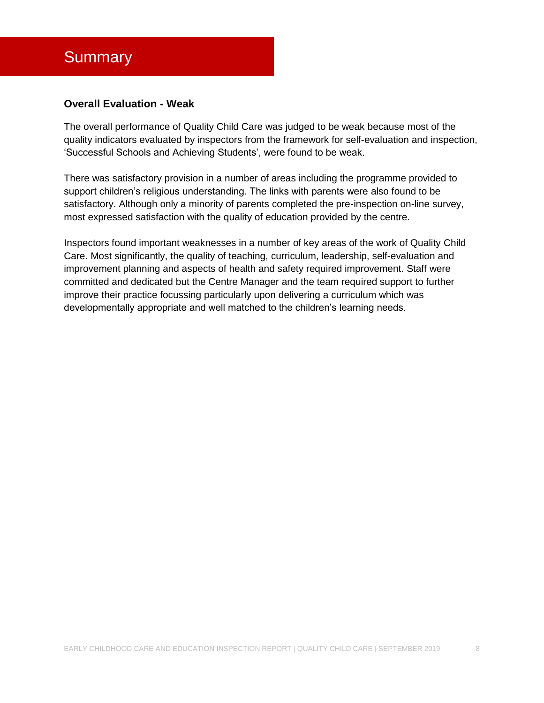### <span id="page-8-0"></span>**Summary**

#### **Overall Evaluation - Weak**

The overall performance of Quality Child Care was judged to be weak because most of the quality indicators evaluated by inspectors from the framework for self-evaluation and inspection, 'Successful Schools and Achieving Students', were found to be weak.

There was satisfactory provision in a number of areas including the programme provided to support children's religious understanding. The links with parents were also found to be satisfactory. Although only a minority of parents completed the pre-inspection on-line survey, most expressed satisfaction with the quality of education provided by the centre.

Inspectors found important weaknesses in a number of key areas of the work of Quality Child Care. Most significantly, the quality of teaching, curriculum, leadership, self-evaluation and improvement planning and aspects of health and safety required improvement. Staff were committed and dedicated but the Centre Manager and the team required support to further improve their practice focussing particularly upon delivering a curriculum which was developmentally appropriate and well matched to the children's learning needs.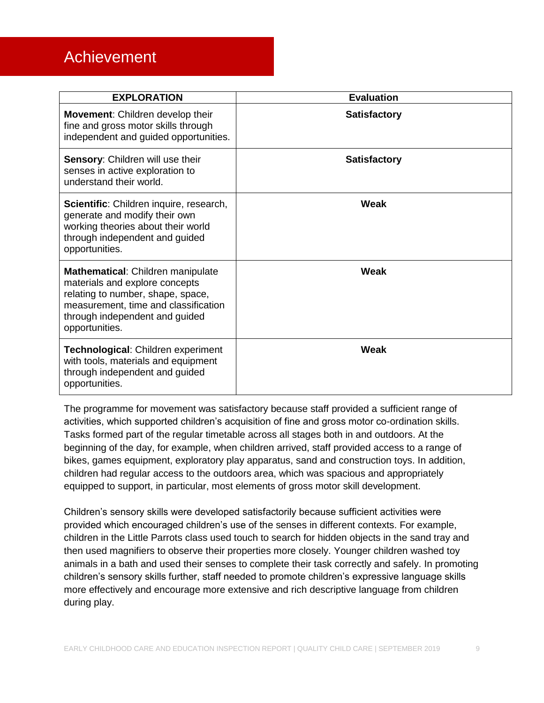### <span id="page-9-0"></span>Achievement

| <b>EXPLORATION</b>                                                                                                                                                                                   | <b>Evaluation</b>   |
|------------------------------------------------------------------------------------------------------------------------------------------------------------------------------------------------------|---------------------|
| <b>Movement:</b> Children develop their<br>fine and gross motor skills through<br>independent and guided opportunities.                                                                              | <b>Satisfactory</b> |
| Sensory: Children will use their<br>senses in active exploration to<br>understand their world.                                                                                                       | <b>Satisfactory</b> |
| Scientific: Children inquire, research,<br>generate and modify their own<br>working theories about their world<br>through independent and guided<br>opportunities.                                   | Weak                |
| Mathematical: Children manipulate<br>materials and explore concepts<br>relating to number, shape, space,<br>measurement, time and classification<br>through independent and guided<br>opportunities. | Weak                |
| Technological: Children experiment<br>with tools, materials and equipment<br>through independent and guided<br>opportunities.                                                                        | Weak                |

The programme for movement was satisfactory because staff provided a sufficient range of activities, which supported children's acquisition of fine and gross motor co-ordination skills. Tasks formed part of the regular timetable across all stages both in and outdoors. At the beginning of the day, for example, when children arrived, staff provided access to a range of bikes, games equipment, exploratory play apparatus, sand and construction toys. In addition, children had regular access to the outdoors area, which was spacious and appropriately equipped to support, in particular, most elements of gross motor skill development.

Children's sensory skills were developed satisfactorily because sufficient activities were provided which encouraged children's use of the senses in different contexts. For example, children in the Little Parrots class used touch to search for hidden objects in the sand tray and then used magnifiers to observe their properties more closely. Younger children washed toy animals in a bath and used their senses to complete their task correctly and safely. In promoting children's sensory skills further, staff needed to promote children's expressive language skills more effectively and encourage more extensive and rich descriptive language from children during play.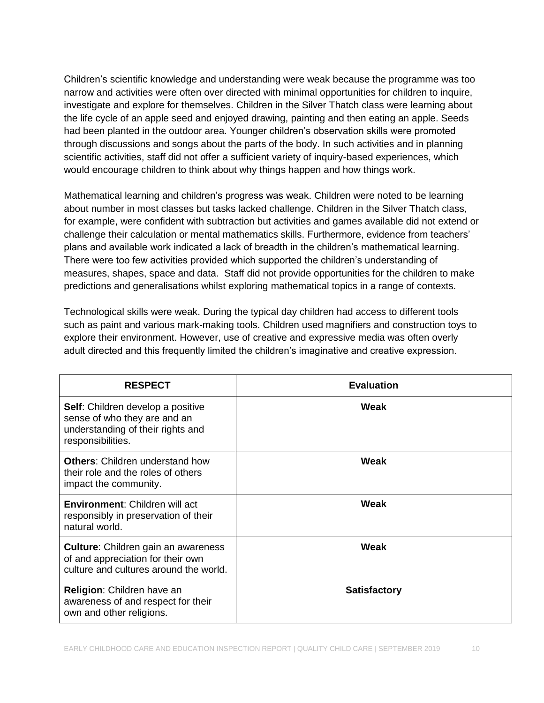Children's scientific knowledge and understanding were weak because the programme was too narrow and activities were often over directed with minimal opportunities for children to inquire, investigate and explore for themselves. Children in the Silver Thatch class were learning about the life cycle of an apple seed and enjoyed drawing, painting and then eating an apple. Seeds had been planted in the outdoor area. Younger children's observation skills were promoted through discussions and songs about the parts of the body. In such activities and in planning scientific activities, staff did not offer a sufficient variety of inquiry-based experiences, which would encourage children to think about why things happen and how things work.

Mathematical learning and children's progress was weak. Children were noted to be learning about number in most classes but tasks lacked challenge. Children in the Silver Thatch class, for example, were confident with subtraction but activities and games available did not extend or challenge their calculation or mental mathematics skills. Furthermore, evidence from teachers' plans and available work indicated a lack of breadth in the children's mathematical learning. There were too few activities provided which supported the children's understanding of measures, shapes, space and data. Staff did not provide opportunities for the children to make predictions and generalisations whilst exploring mathematical topics in a range of contexts.

Technological skills were weak. During the typical day children had access to different tools such as paint and various mark-making tools. Children used magnifiers and construction toys to explore their environment. However, use of creative and expressive media was often overly adult directed and this frequently limited the children's imaginative and creative expression.

| <b>RESPECT</b>                                                                                                                     | <b>Evaluation</b>   |
|------------------------------------------------------------------------------------------------------------------------------------|---------------------|
| <b>Self:</b> Children develop a positive<br>sense of who they are and an<br>understanding of their rights and<br>responsibilities. | Weak                |
| <b>Others: Children understand how</b><br>their role and the roles of others<br>impact the community.                              | Weak                |
| <b>Environment: Children will act</b><br>responsibly in preservation of their<br>natural world.                                    | Weak                |
| <b>Culture:</b> Children gain an awareness<br>of and appreciation for their own<br>culture and cultures around the world.          | <b>Weak</b>         |
| Religion: Children have an<br>awareness of and respect for their<br>own and other religions.                                       | <b>Satisfactory</b> |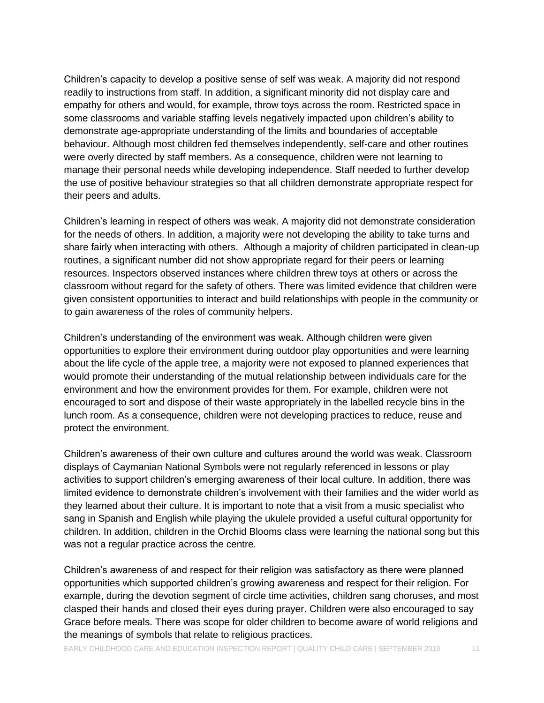Children's capacity to develop a positive sense of self was weak. A majority did not respond readily to instructions from staff. In addition, a significant minority did not display care and empathy for others and would, for example, throw toys across the room. Restricted space in some classrooms and variable staffing levels negatively impacted upon children's ability to demonstrate age-appropriate understanding of the limits and boundaries of acceptable behaviour. Although most children fed themselves independently, self-care and other routines were overly directed by staff members. As a consequence, children were not learning to manage their personal needs while developing independence. Staff needed to further develop the use of positive behaviour strategies so that all children demonstrate appropriate respect for their peers and adults.

Children's learning in respect of others was weak. A majority did not demonstrate consideration for the needs of others. In addition, a majority were not developing the ability to take turns and share fairly when interacting with others. Although a majority of children participated in clean-up routines, a significant number did not show appropriate regard for their peers or learning resources. Inspectors observed instances where children threw toys at others or across the classroom without regard for the safety of others. There was limited evidence that children were given consistent opportunities to interact and build relationships with people in the community or to gain awareness of the roles of community helpers.

Children's understanding of the environment was weak. Although children were given opportunities to explore their environment during outdoor play opportunities and were learning about the life cycle of the apple tree, a majority were not exposed to planned experiences that would promote their understanding of the mutual relationship between individuals care for the environment and how the environment provides for them. For example, children were not encouraged to sort and dispose of their waste appropriately in the labelled recycle bins in the lunch room. As a consequence, children were not developing practices to reduce, reuse and protect the environment.

Children's awareness of their own culture and cultures around the world was weak. Classroom displays of Caymanian National Symbols were not regularly referenced in lessons or play activities to support children's emerging awareness of their local culture. In addition, there was limited evidence to demonstrate children's involvement with their families and the wider world as they learned about their culture. It is important to note that a visit from a music specialist who sang in Spanish and English while playing the ukulele provided a useful cultural opportunity for children. In addition, children in the Orchid Blooms class were learning the national song but this was not a regular practice across the centre.

Children's awareness of and respect for their religion was satisfactory as there were planned opportunities which supported children's growing awareness and respect for their religion. For example, during the devotion segment of circle time activities, children sang choruses, and most clasped their hands and closed their eyes during prayer. Children were also encouraged to say Grace before meals. There was scope for older children to become aware of world religions and the meanings of symbols that relate to religious practices.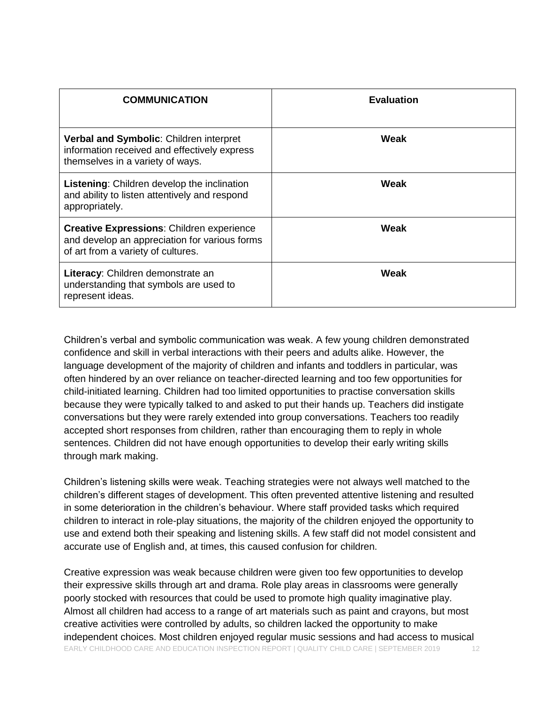| <b>COMMUNICATION</b>                                                                                                                    | <b>Evaluation</b> |
|-----------------------------------------------------------------------------------------------------------------------------------------|-------------------|
| Verbal and Symbolic: Children interpret<br>information received and effectively express<br>themselves in a variety of ways.             | Weak              |
| <b>Listening:</b> Children develop the inclination<br>and ability to listen attentively and respond<br>appropriately.                   | Weak              |
| <b>Creative Expressions: Children experience</b><br>and develop an appreciation for various forms<br>of art from a variety of cultures. | Weak              |
| Literacy: Children demonstrate an<br>understanding that symbols are used to<br>represent ideas.                                         | Weak              |

Children's verbal and symbolic communication was weak. A few young children demonstrated confidence and skill in verbal interactions with their peers and adults alike. However, the language development of the majority of children and infants and toddlers in particular, was often hindered by an over reliance on teacher-directed learning and too few opportunities for child-initiated learning. Children had too limited opportunities to practise conversation skills because they were typically talked to and asked to put their hands up. Teachers did instigate conversations but they were rarely extended into group conversations. Teachers too readily accepted short responses from children, rather than encouraging them to reply in whole sentences. Children did not have enough opportunities to develop their early writing skills through mark making.

Children's listening skills were weak. Teaching strategies were not always well matched to the children's different stages of development. This often prevented attentive listening and resulted in some deterioration in the children's behaviour. Where staff provided tasks which required children to interact in role-play situations, the majority of the children enjoyed the opportunity to use and extend both their speaking and listening skills. A few staff did not model consistent and accurate use of English and, at times, this caused confusion for children.

EARLY CHILDHOOD CARE AND EDUCATION INSPECTION REPORT | QUALITY CHILD CARE | SEPTEMBER 2019 12 Creative expression was weak because children were given too few opportunities to develop their expressive skills through art and drama. Role play areas in classrooms were generally poorly stocked with resources that could be used to promote high quality imaginative play. Almost all children had access to a range of art materials such as paint and crayons, but most creative activities were controlled by adults, so children lacked the opportunity to make independent choices. Most children enjoyed regular music sessions and had access to musical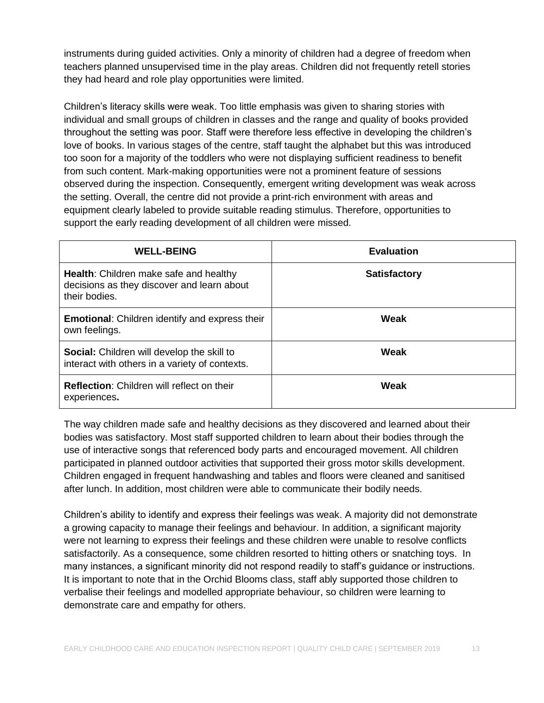instruments during guided activities. Only a minority of children had a degree of freedom when teachers planned unsupervised time in the play areas. Children did not frequently retell stories they had heard and role play opportunities were limited.

Children's literacy skills were weak. Too little emphasis was given to sharing stories with individual and small groups of children in classes and the range and quality of books provided throughout the setting was poor. Staff were therefore less effective in developing the children's love of books. In various stages of the centre, staff taught the alphabet but this was introduced too soon for a majority of the toddlers who were not displaying sufficient readiness to benefit from such content. Mark-making opportunities were not a prominent feature of sessions observed during the inspection. Consequently, emergent writing development was weak across the setting. Overall, the centre did not provide a print-rich environment with areas and equipment clearly labeled to provide suitable reading stimulus. Therefore, opportunities to support the early reading development of all children were missed.

| <b>WELL-BEING</b>                                                                                            | <b>Evaluation</b>   |
|--------------------------------------------------------------------------------------------------------------|---------------------|
| <b>Health:</b> Children make safe and healthy<br>decisions as they discover and learn about<br>their bodies. | <b>Satisfactory</b> |
| <b>Emotional:</b> Children identify and express their<br>own feelings.                                       | Weak                |
| <b>Social:</b> Children will develop the skill to<br>interact with others in a variety of contexts.          | Weak                |
| <b>Reflection:</b> Children will reflect on their<br>experiences.                                            | Weak                |

The way children made safe and healthy decisions as they discovered and learned about their bodies was satisfactory. Most staff supported children to learn about their bodies through the use of interactive songs that referenced body parts and encouraged movement. All children participated in planned outdoor activities that supported their gross motor skills development. Children engaged in frequent handwashing and tables and floors were cleaned and sanitised after lunch. In addition, most children were able to communicate their bodily needs.

Children's ability to identify and express their feelings was weak. A majority did not demonstrate a growing capacity to manage their feelings and behaviour. In addition, a significant majority were not learning to express their feelings and these children were unable to resolve conflicts satisfactorily. As a consequence, some children resorted to hitting others or snatching toys. In many instances, a significant minority did not respond readily to staff's guidance or instructions. It is important to note that in the Orchid Blooms class, staff ably supported those children to verbalise their feelings and modelled appropriate behaviour, so children were learning to demonstrate care and empathy for others.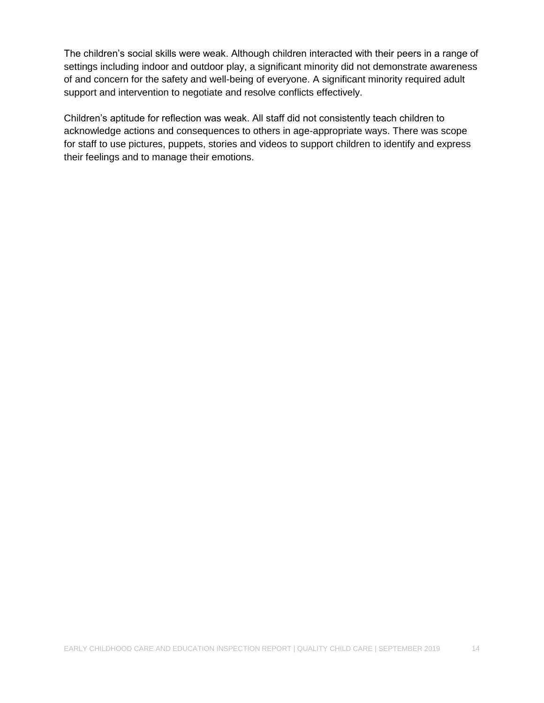The children's social skills were weak. Although children interacted with their peers in a range of settings including indoor and outdoor play, a significant minority did not demonstrate awareness of and concern for the safety and well-being of everyone. A significant minority required adult support and intervention to negotiate and resolve conflicts effectively.

Children's aptitude for reflection was weak. All staff did not consistently teach children to acknowledge actions and consequences to others in age-appropriate ways. There was scope for staff to use pictures, puppets, stories and videos to support children to identify and express their feelings and to manage their emotions.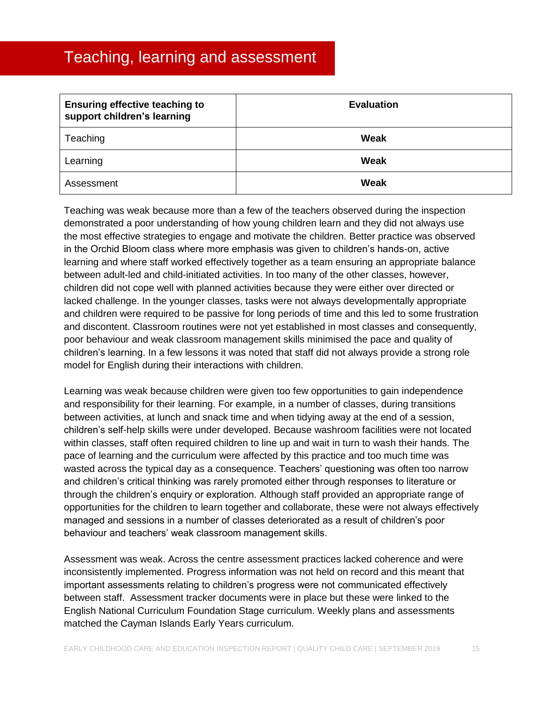### <span id="page-15-0"></span>Teaching, learning and assessment

| <b>Ensuring effective teaching to</b><br>support children's learning | <b>Evaluation</b> |
|----------------------------------------------------------------------|-------------------|
| Teaching                                                             | Weak              |
| Learning                                                             | Weak              |
| Assessment                                                           | Weak              |

Teaching was weak because more than a few of the teachers observed during the inspection demonstrated a poor understanding of how young children learn and they did not always use the most effective strategies to engage and motivate the children. Better practice was observed in the Orchid Bloom class where more emphasis was given to children's hands-on, active learning and where staff worked effectively together as a team ensuring an appropriate balance between adult-led and child-initiated activities. In too many of the other classes, however, children did not cope well with planned activities because they were either over directed or lacked challenge. In the younger classes, tasks were not always developmentally appropriate and children were required to be passive for long periods of time and this led to some frustration and discontent. Classroom routines were not yet established in most classes and consequently, poor behaviour and weak classroom management skills minimised the pace and quality of children's learning. In a few lessons it was noted that staff did not always provide a strong role model for English during their interactions with children.

Learning was weak because children were given too few opportunities to gain independence and responsibility for their learning. For example, in a number of classes, during transitions between activities, at lunch and snack time and when tidying away at the end of a session, children's self-help skills were under developed. Because washroom facilities were not located within classes, staff often required children to line up and wait in turn to wash their hands. The pace of learning and the curriculum were affected by this practice and too much time was wasted across the typical day as a consequence. Teachers' questioning was often too narrow and children's critical thinking was rarely promoted either through responses to literature or through the children's enquiry or exploration. Although staff provided an appropriate range of opportunities for the children to learn together and collaborate, these were not always effectively managed and sessions in a number of classes deteriorated as a result of children's poor behaviour and teachers' weak classroom management skills.

Assessment was weak. Across the centre assessment practices lacked coherence and were inconsistently implemented. Progress information was not held on record and this meant that important assessments relating to children's progress were not communicated effectively between staff. Assessment tracker documents were in place but these were linked to the English National Curriculum Foundation Stage curriculum. Weekly plans and assessments matched the Cayman Islands Early Years curriculum.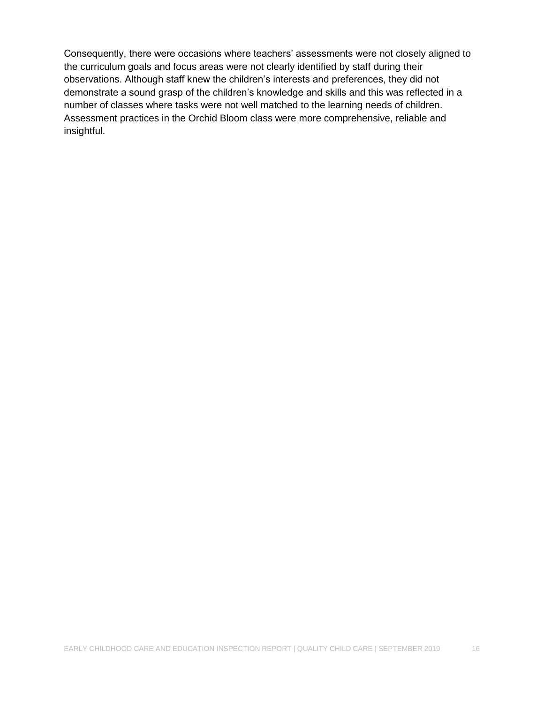Consequently, there were occasions where teachers' assessments were not closely aligned to the curriculum goals and focus areas were not clearly identified by staff during their observations. Although staff knew the children's interests and preferences, they did not demonstrate a sound grasp of the children's knowledge and skills and this was reflected in a number of classes where tasks were not well matched to the learning needs of children. Assessment practices in the Orchid Bloom class were more comprehensive, reliable and insightful.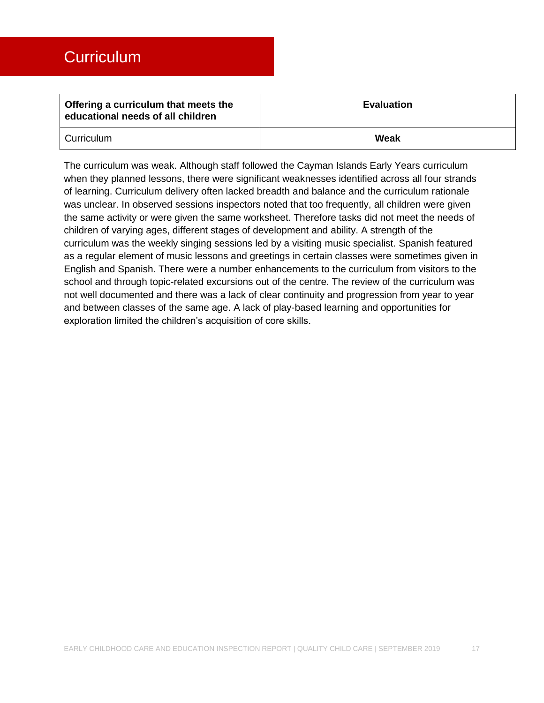<span id="page-17-0"></span>

| Offering a curriculum that meets the<br>educational needs of all children | <b>Evaluation</b> |
|---------------------------------------------------------------------------|-------------------|
| Curriculum                                                                | Weak              |

The curriculum was weak. Although staff followed the Cayman Islands Early Years curriculum when they planned lessons, there were significant weaknesses identified across all four strands of learning. Curriculum delivery often lacked breadth and balance and the curriculum rationale was unclear. In observed sessions inspectors noted that too frequently, all children were given the same activity or were given the same worksheet. Therefore tasks did not meet the needs of children of varying ages, different stages of development and ability. A strength of the curriculum was the weekly singing sessions led by a visiting music specialist. Spanish featured as a regular element of music lessons and greetings in certain classes were sometimes given in English and Spanish. There were a number enhancements to the curriculum from visitors to the school and through topic-related excursions out of the centre. The review of the curriculum was not well documented and there was a lack of clear continuity and progression from year to year and between classes of the same age. A lack of play-based learning and opportunities for exploration limited the children's acquisition of core skills.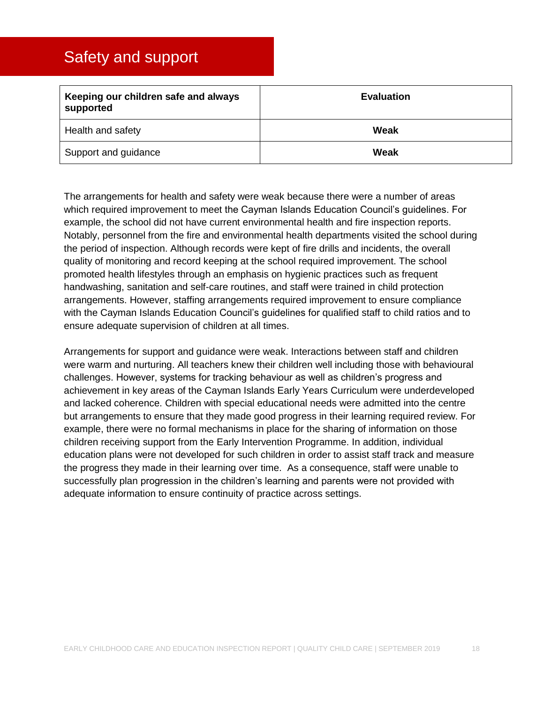### <span id="page-18-0"></span>Safety and support

| Keeping our children safe and always<br>supported | <b>Evaluation</b> |
|---------------------------------------------------|-------------------|
| Health and safety                                 | Weak              |
| Support and guidance                              | Weak              |

The arrangements for health and safety were weak because there were a number of areas which required improvement to meet the Cayman Islands Education Council's guidelines. For example, the school did not have current environmental health and fire inspection reports. Notably, personnel from the fire and environmental health departments visited the school during the period of inspection. Although records were kept of fire drills and incidents, the overall quality of monitoring and record keeping at the school required improvement. The school promoted health lifestyles through an emphasis on hygienic practices such as frequent handwashing, sanitation and self-care routines, and staff were trained in child protection arrangements. However, staffing arrangements required improvement to ensure compliance with the Cayman Islands Education Council's guidelines for qualified staff to child ratios and to ensure adequate supervision of children at all times.

Arrangements for support and guidance were weak. Interactions between staff and children were warm and nurturing. All teachers knew their children well including those with behavioural challenges. However, systems for tracking behaviour as well as children's progress and achievement in key areas of the Cayman Islands Early Years Curriculum were underdeveloped and lacked coherence. Children with special educational needs were admitted into the centre but arrangements to ensure that they made good progress in their learning required review. For example, there were no formal mechanisms in place for the sharing of information on those children receiving support from the Early Intervention Programme. In addition, individual education plans were not developed for such children in order to assist staff track and measure the progress they made in their learning over time. As a consequence, staff were unable to successfully plan progression in the children's learning and parents were not provided with adequate information to ensure continuity of practice across settings.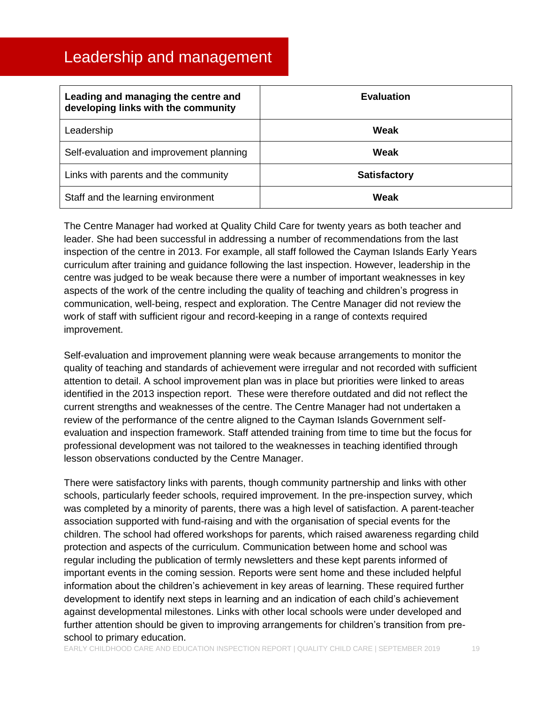### <span id="page-19-0"></span>Leadership and management

| Leading and managing the centre and<br>developing links with the community | <b>Evaluation</b>   |
|----------------------------------------------------------------------------|---------------------|
| Leadership                                                                 | Weak                |
| Self-evaluation and improvement planning                                   | Weak                |
| Links with parents and the community                                       | <b>Satisfactory</b> |
| Staff and the learning environment                                         | Weak                |

The Centre Manager had worked at Quality Child Care for twenty years as both teacher and leader. She had been successful in addressing a number of recommendations from the last inspection of the centre in 2013. For example, all staff followed the Cayman Islands Early Years curriculum after training and guidance following the last inspection. However, leadership in the centre was judged to be weak because there were a number of important weaknesses in key aspects of the work of the centre including the quality of teaching and children's progress in communication, well-being, respect and exploration. The Centre Manager did not review the work of staff with sufficient rigour and record-keeping in a range of contexts required improvement.

Self-evaluation and improvement planning were weak because arrangements to monitor the quality of teaching and standards of achievement were irregular and not recorded with sufficient attention to detail. A school improvement plan was in place but priorities were linked to areas identified in the 2013 inspection report. These were therefore outdated and did not reflect the current strengths and weaknesses of the centre. The Centre Manager had not undertaken a review of the performance of the centre aligned to the Cayman Islands Government selfevaluation and inspection framework. Staff attended training from time to time but the focus for professional development was not tailored to the weaknesses in teaching identified through lesson observations conducted by the Centre Manager.

There were satisfactory links with parents, though community partnership and links with other schools, particularly feeder schools, required improvement. In the pre-inspection survey, which was completed by a minority of parents, there was a high level of satisfaction. A parent-teacher association supported with fund-raising and with the organisation of special events for the children. The school had offered workshops for parents, which raised awareness regarding child protection and aspects of the curriculum. Communication between home and school was regular including the publication of termly newsletters and these kept parents informed of important events in the coming session. Reports were sent home and these included helpful information about the children's achievement in key areas of learning. These required further development to identify next steps in learning and an indication of each child's achievement against developmental milestones. Links with other local schools were under developed and further attention should be given to improving arrangements for children's transition from preschool to primary education.

EARLY CHILDHOOD CARE AND EDUCATION INSPECTION REPORT | QUALITY CHILD CARE | SEPTEMBER 2019 19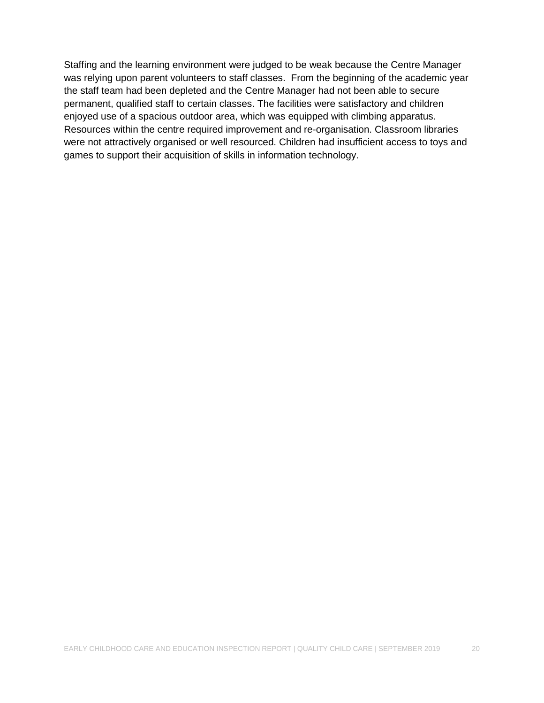Staffing and the learning environment were judged to be weak because the Centre Manager was relying upon parent volunteers to staff classes. From the beginning of the academic year the staff team had been depleted and the Centre Manager had not been able to secure permanent, qualified staff to certain classes. The facilities were satisfactory and children enjoyed use of a spacious outdoor area, which was equipped with climbing apparatus. Resources within the centre required improvement and re-organisation. Classroom libraries were not attractively organised or well resourced. Children had insufficient access to toys and games to support their acquisition of skills in information technology.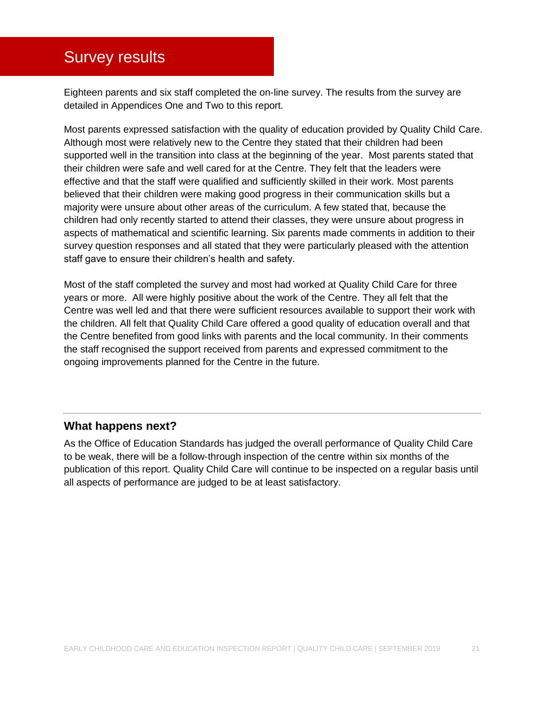### <span id="page-21-0"></span>Survey results

Eighteen parents and six staff completed the on-line survey. The results from the survey are detailed in Appendices One and Two to this report.

Most parents expressed satisfaction with the quality of education provided by Quality Child Care. Although most were relatively new to the Centre they stated that their children had been supported well in the transition into class at the beginning of the year. Most parents stated that their children were safe and well cared for at the Centre. They felt that the leaders were effective and that the staff were qualified and sufficiently skilled in their work. Most parents believed that their children were making good progress in their communication skills but a majority were unsure about other areas of the curriculum. A few stated that, because the children had only recently started to attend their classes, they were unsure about progress in aspects of mathematical and scientific learning. Six parents made comments in addition to their survey question responses and all stated that they were particularly pleased with the attention staff gave to ensure their children's health and safety.

Most of the staff completed the survey and most had worked at Quality Child Care for three years or more. All were highly positive about the work of the Centre. They all felt that the Centre was well led and that there were sufficient resources available to support their work with the children. All felt that Quality Child Care offered a good quality of education overall and that the Centre benefited from good links with parents and the local community. In their comments the staff recognised the support received from parents and expressed commitment to the ongoing improvements planned for the Centre in the future.

#### **What happens next?**

As the Office of Education Standards has judged the overall performance of Quality Child Care to be weak, there will be a follow-through inspection of the centre within six months of the publication of this report. Quality Child Care will continue to be inspected on a regular basis until all aspects of performance are judged to be at least satisfactory.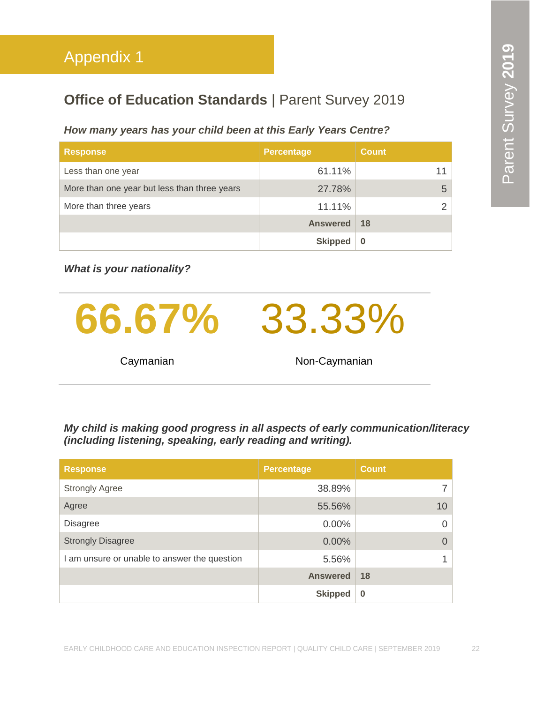### <span id="page-22-0"></span>**Office of Education Standards | Parent Survey 2019**

#### *How many years has your child been at this Early Years Centre?*

| <b>Response</b>                              | Percentage      | <b>Count</b> |
|----------------------------------------------|-----------------|--------------|
| Less than one year                           | 61.11%          |              |
| More than one year but less than three years | 27.78%          | 5            |
| More than three years                        | 11.11%          |              |
|                                              | <b>Answered</b> | -18          |
|                                              | <b>Skipped</b>  |              |

*What is your nationality?*



*My child is making good progress in all aspects of early communication/literacy (including listening, speaking, early reading and writing).*

| <b>Response</b>                              | <b>Percentage</b> | <b>Count</b> |
|----------------------------------------------|-------------------|--------------|
| <b>Strongly Agree</b>                        | 38.89%            |              |
| Agree                                        | 55.56%            | 10           |
| <b>Disagree</b>                              | 0.00%             |              |
| <b>Strongly Disagree</b>                     | 0.00%             | $\Omega$     |
| I am unsure or unable to answer the question | 5.56%             |              |
|                                              | <b>Answered</b>   | 18           |
|                                              | <b>Skipped</b>    | $\bf{0}$     |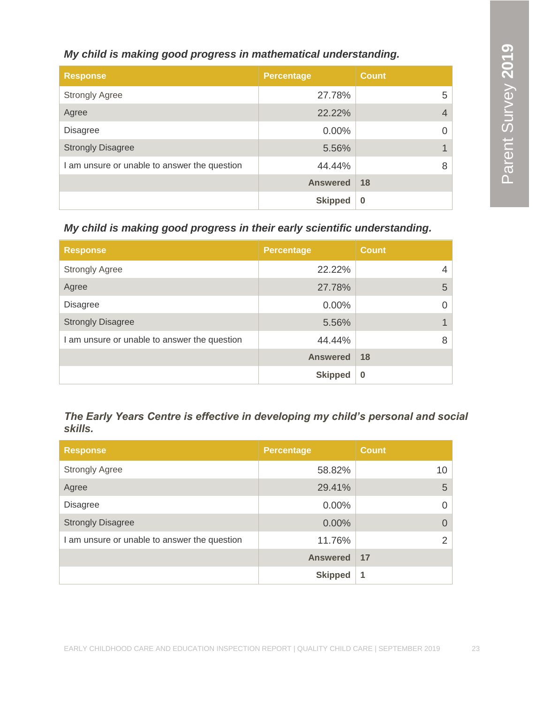#### *My child is making good progress in mathematical understanding.*

| <b>Response</b>                              | <b>Percentage</b> | <b>Count</b> |
|----------------------------------------------|-------------------|--------------|
| <b>Strongly Agree</b>                        | 27.78%            | 5            |
| Agree                                        | 22.22%            | 4            |
| <b>Disagree</b>                              | 0.00%             | 0            |
| <b>Strongly Disagree</b>                     | 5.56%             |              |
| I am unsure or unable to answer the question | 44.44%            | 8            |
|                                              | <b>Answered</b>   | <b>18</b>    |
|                                              | <b>Skipped</b>    | $\bf{0}$     |

*My child is making good progress in their early scientific understanding.*

| <b>Response</b>                              | <b>Percentage</b> | <b>Count</b> |
|----------------------------------------------|-------------------|--------------|
| <b>Strongly Agree</b>                        | 22.22%            | 4            |
| Agree                                        | 27.78%            | 5            |
| <b>Disagree</b>                              | 0.00%             | $\Omega$     |
| <b>Strongly Disagree</b>                     | 5.56%             |              |
| I am unsure or unable to answer the question | 44.44%            | 8            |
|                                              | <b>Answered</b>   | 18           |
|                                              | <b>Skipped</b>    | $\bf{0}$     |

*The Early Years Centre is effective in developing my child's personal and social skills.*

| <b>Response</b>                              | Percentage      | <b>Count</b> |
|----------------------------------------------|-----------------|--------------|
| <b>Strongly Agree</b>                        | 58.82%          | 10           |
| Agree                                        | 29.41%          | 5            |
| <b>Disagree</b>                              | $0.00\%$        | Ω            |
| <b>Strongly Disagree</b>                     | $0.00\%$        |              |
| I am unsure or unable to answer the question | 11.76%          | っ            |
|                                              | <b>Answered</b> | 17           |
|                                              | <b>Skipped</b>  | 1            |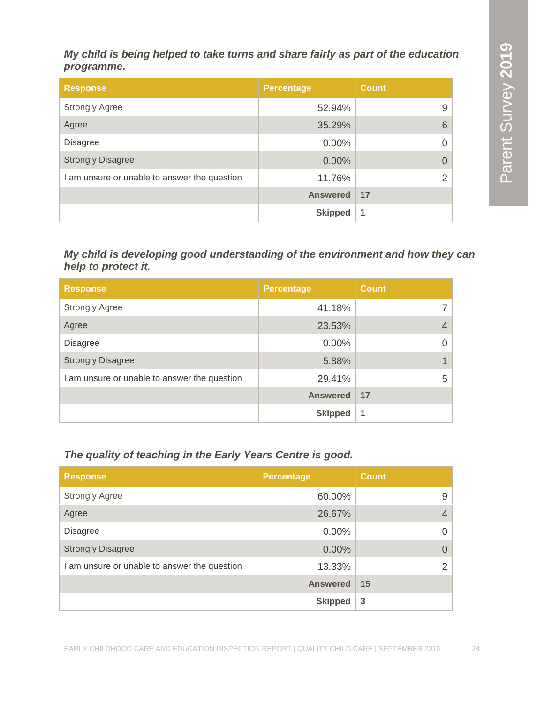#### *My child is being helped to take turns and share fairly as part of the education programme.*

| <b>Response</b>                              | <b>Percentage</b> | <b>Count</b> |
|----------------------------------------------|-------------------|--------------|
| <b>Strongly Agree</b>                        | 52.94%            | 9            |
| Agree                                        | 35.29%            | 6            |
| <b>Disagree</b>                              | 0.00%             | $\Omega$     |
| <b>Strongly Disagree</b>                     | 0.00%             | $\Omega$     |
| I am unsure or unable to answer the question | 11.76%            | 2            |
|                                              | <b>Answered</b>   | 17           |
|                                              | <b>Skipped</b>    | -1           |

#### *My child is developing good understanding of the environment and how they can help to protect it.*

| <b>Response</b>                              | <b>Percentage</b> | <b>Count</b> |
|----------------------------------------------|-------------------|--------------|
| <b>Strongly Agree</b>                        | 41.18%            |              |
| Agree                                        | 23.53%            | 4            |
| <b>Disagree</b>                              | $0.00\%$          | 0            |
| <b>Strongly Disagree</b>                     | 5.88%             |              |
| I am unsure or unable to answer the question | 29.41%            | 5            |
|                                              | <b>Answered</b>   | 17           |
|                                              | <b>Skipped</b>    | 1            |

#### *The quality of teaching in the Early Years Centre is good.*

| <b>Response</b>                              | <b>Percentage</b> | <b>Count</b>   |
|----------------------------------------------|-------------------|----------------|
| <b>Strongly Agree</b>                        | 60.00%            | 9              |
| Agree                                        | 26.67%            | $\overline{4}$ |
| <b>Disagree</b>                              | $0.00\%$          | 0              |
| <b>Strongly Disagree</b>                     | $0.00\%$          | $\Omega$       |
| I am unsure or unable to answer the question | 13.33%            | $\mathcal{P}$  |
|                                              | <b>Answered</b>   | 15             |
|                                              | <b>Skipped</b>    | 3              |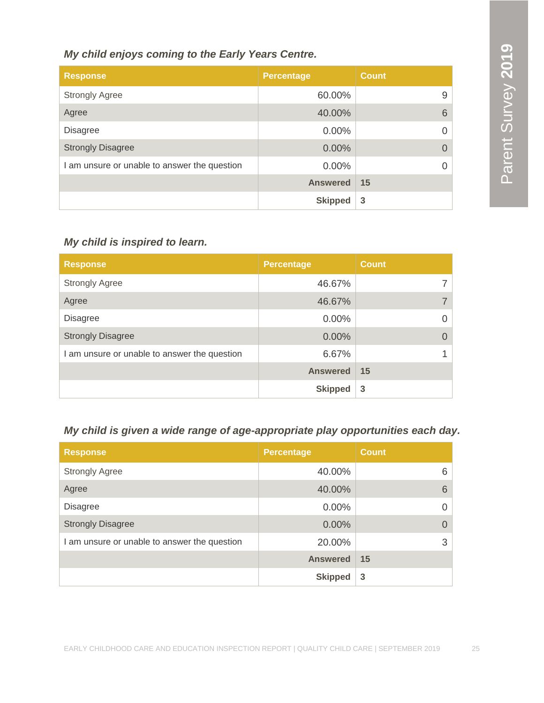#### *My child enjoys coming to the Early Years Centre.*

| <b>Response</b>                              | <b>Percentage</b> | <b>Count</b> |
|----------------------------------------------|-------------------|--------------|
| <b>Strongly Agree</b>                        | 60.00%            | 9            |
| Agree                                        | 40.00%            | 6            |
| <b>Disagree</b>                              | $0.00\%$          |              |
| <b>Strongly Disagree</b>                     | 0.00%             |              |
| I am unsure or unable to answer the question | $0.00\%$          |              |
|                                              | <b>Answered</b>   | 15           |
|                                              | <b>Skipped</b>    | 3            |

#### *My child is inspired to learn.*

| <b>Response</b>                              | <b>Percentage</b> | <b>Count</b> |
|----------------------------------------------|-------------------|--------------|
| <b>Strongly Agree</b>                        | 46.67%            |              |
| Agree                                        | 46.67%            |              |
| <b>Disagree</b>                              | $0.00\%$          | 0            |
| <b>Strongly Disagree</b>                     | 0.00%             |              |
| I am unsure or unable to answer the question | 6.67%             |              |
|                                              | <b>Answered</b>   | 15           |
|                                              | <b>Skipped</b>    | 3            |

#### *My child is given a wide range of age-appropriate play opportunities each day.*

| <b>Response</b>                              | <b>Percentage</b> | <b>Count</b> |
|----------------------------------------------|-------------------|--------------|
| <b>Strongly Agree</b>                        | 40.00%            | 6            |
| Agree                                        | 40.00%            | 6            |
| <b>Disagree</b>                              | $0.00\%$          | 0            |
| <b>Strongly Disagree</b>                     | 0.00%             |              |
| I am unsure or unable to answer the question | 20.00%            | 3            |
|                                              | <b>Answered</b>   | 15           |
|                                              | <b>Skipped</b>    | 3            |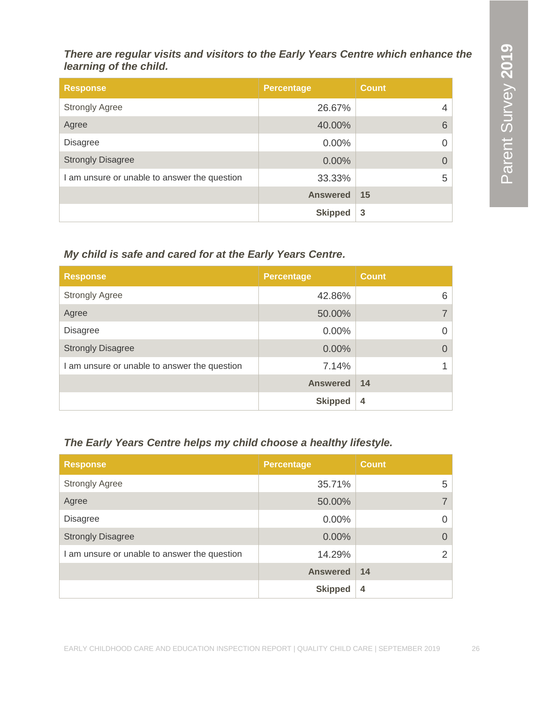*There are regular visits and visitors to the Early Years Centre which enhance the learning of the child.*

| <b>Response</b>                              | <b>Percentage</b> | <b>Count</b>   |
|----------------------------------------------|-------------------|----------------|
| <b>Strongly Agree</b>                        | 26.67%            | $\overline{4}$ |
| Agree                                        | 40.00%            | 6              |
| <b>Disagree</b>                              | 0.00%             | 0              |
| <b>Strongly Disagree</b>                     | 0.00%             |                |
| I am unsure or unable to answer the question | 33.33%            | 5              |
|                                              | <b>Answered</b>   | 15             |
|                                              | <b>Skipped</b>    | 3              |

#### *My child is safe and cared for at the Early Years Centre.*

| <b>Response</b>                              | <b>Percentage</b> | <b>Count</b> |
|----------------------------------------------|-------------------|--------------|
| <b>Strongly Agree</b>                        | 42.86%            | 6            |
| Agree                                        | 50.00%            |              |
| <b>Disagree</b>                              | 0.00%             | 0            |
| <b>Strongly Disagree</b>                     | 0.00%             |              |
| I am unsure or unable to answer the question | 7.14%             |              |
|                                              | <b>Answered</b>   | 14           |
|                                              | <b>Skipped</b>    | 4            |

#### *The Early Years Centre helps my child choose a healthy lifestyle.*

| <b>Response</b>                              | <b>Percentage</b> | <b>Count</b>   |
|----------------------------------------------|-------------------|----------------|
| <b>Strongly Agree</b>                        | 35.71%            | 5              |
| Agree                                        | 50.00%            |                |
| <b>Disagree</b>                              | $0.00\%$          | $\Omega$       |
| <b>Strongly Disagree</b>                     | 0.00%             | $\Omega$       |
| I am unsure or unable to answer the question | 14.29%            | 2              |
|                                              | <b>Answered</b>   | 14             |
|                                              | <b>Skipped</b>    | $\overline{4}$ |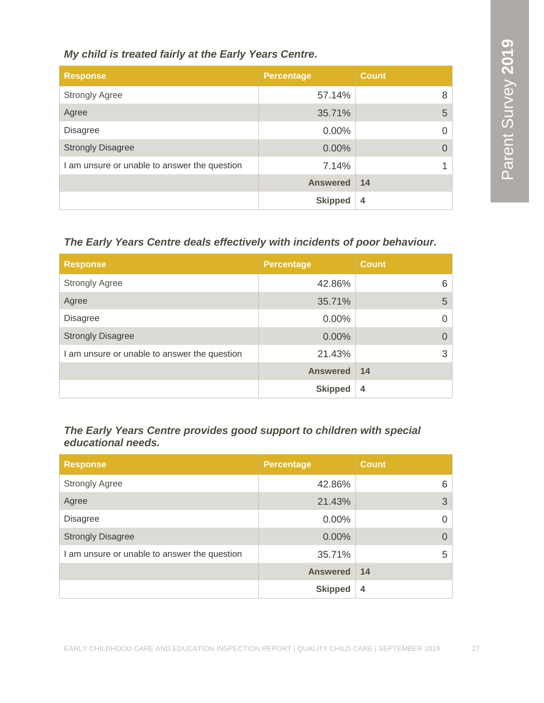#### *My child is treated fairly at the Early Years Centre.*

| <b>Response</b>                              | <b>Percentage</b> | <b>Count</b>   |
|----------------------------------------------|-------------------|----------------|
| <b>Strongly Agree</b>                        | 57.14%            | 8              |
| Agree                                        | 35.71%            | 5              |
| <b>Disagree</b>                              | $0.00\%$          | $\Omega$       |
| <b>Strongly Disagree</b>                     | 0.00%             | $\Omega$       |
| I am unsure or unable to answer the question | 7.14%             |                |
|                                              | <b>Answered</b>   | 14             |
|                                              | <b>Skipped</b>    | $\overline{4}$ |

#### *The Early Years Centre deals effectively with incidents of poor behaviour.*

| <b>Response</b>                              | <b>Percentage</b> | <b>Count</b> |
|----------------------------------------------|-------------------|--------------|
| <b>Strongly Agree</b>                        | 42.86%            | 6            |
| Agree                                        | 35.71%            | 5            |
| <b>Disagree</b>                              | $0.00\%$          | $\Omega$     |
| <b>Strongly Disagree</b>                     | $0.00\%$          | $\Omega$     |
| I am unsure or unable to answer the question | 21.43%            | 3            |
|                                              | <b>Answered</b>   | 14           |
|                                              | <b>Skipped</b>    | 4            |

#### *The Early Years Centre provides good support to children with special educational needs.*

| <b>Response</b>                              | <b>Percentage</b> | <b>Count</b> |
|----------------------------------------------|-------------------|--------------|
| <b>Strongly Agree</b>                        | 42.86%            | 6            |
| Agree                                        | 21.43%            | 3            |
| <b>Disagree</b>                              | $0.00\%$          | $\Omega$     |
| <b>Strongly Disagree</b>                     | $0.00\%$          | $\Omega$     |
| I am unsure or unable to answer the question | 35.71%            | 5            |
|                                              | <b>Answered</b>   | 14           |
|                                              | <b>Skipped</b>    | 4            |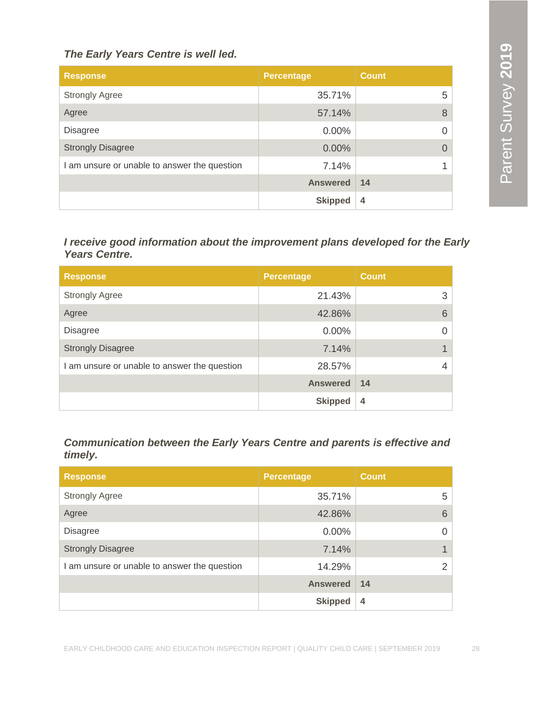#### *The Early Years Centre is well led.*

| <b>Response</b>                              | <b>Percentage</b> | <b>Count</b>   |
|----------------------------------------------|-------------------|----------------|
| <b>Strongly Agree</b>                        | 35.71%            | 5              |
| Agree                                        | 57.14%            | 8              |
| <b>Disagree</b>                              | $0.00\%$          | $\Omega$       |
| <b>Strongly Disagree</b>                     | 0.00%             | $\Omega$       |
| I am unsure or unable to answer the question | 7.14%             |                |
|                                              | <b>Answered</b>   | 14             |
|                                              | <b>Skipped</b>    | $\overline{4}$ |

*I receive good information about the improvement plans developed for the Early Years Centre.*

| <b>Response</b>                              | <b>Percentage</b> | <b>Count</b> |
|----------------------------------------------|-------------------|--------------|
| <b>Strongly Agree</b>                        | 21.43%            | 3            |
| Agree                                        | 42.86%            | 6            |
| <b>Disagree</b>                              | $0.00\%$          |              |
| <b>Strongly Disagree</b>                     | 7.14%             |              |
| I am unsure or unable to answer the question | 28.57%            |              |
|                                              | <b>Answered</b>   | 14           |
|                                              | <b>Skipped</b>    | 4            |

*Communication between the Early Years Centre and parents is effective and timely.*

| <b>Response</b>                              | <b>Percentage</b> | <b>Count</b> |
|----------------------------------------------|-------------------|--------------|
| <b>Strongly Agree</b>                        | 35.71%            | 5            |
| Agree                                        | 42.86%            | 6            |
| <b>Disagree</b>                              | $0.00\%$          | $\Omega$     |
| <b>Strongly Disagree</b>                     | 7.14%             | 1            |
| I am unsure or unable to answer the question | 14.29%            | 2            |
|                                              | <b>Answered</b>   | 14           |
|                                              | <b>Skipped</b>    | 4            |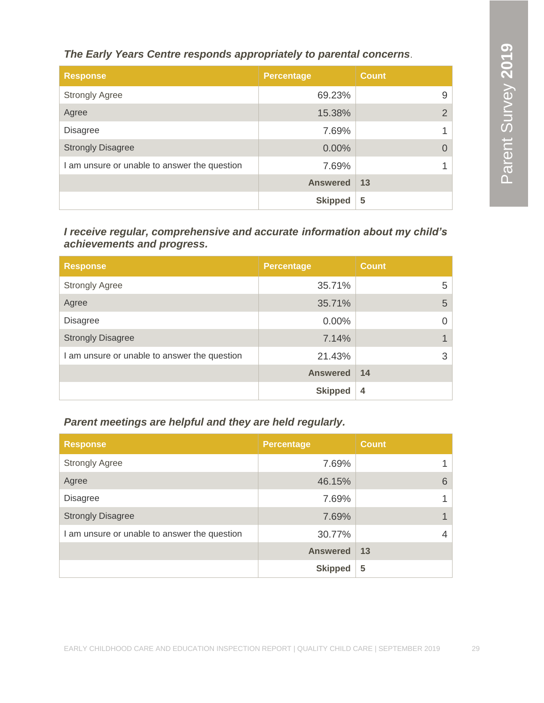*The Early Years Centre responds appropriately to parental concerns*.

| <b>Response</b>                              | <b>Percentage</b> | <b>Count</b> |
|----------------------------------------------|-------------------|--------------|
| <b>Strongly Agree</b>                        | 69.23%            | 9            |
| Agree                                        | 15.38%            | 2            |
| <b>Disagree</b>                              | 7.69%             |              |
| <b>Strongly Disagree</b>                     | 0.00%             | $\Omega$     |
| I am unsure or unable to answer the question | 7.69%             |              |
|                                              | <b>Answered</b>   | 13           |
|                                              | <b>Skipped</b>    | 5            |

*I receive regular, comprehensive and accurate information about my child's achievements and progress.*

| <b>Response</b>                              | <b>Percentage</b> | <b>Count</b> |
|----------------------------------------------|-------------------|--------------|
| <b>Strongly Agree</b>                        | 35.71%            | 5            |
| Agree                                        | 35.71%            | 5            |
| <b>Disagree</b>                              | $0.00\%$          |              |
| <b>Strongly Disagree</b>                     | 7.14%             |              |
| I am unsure or unable to answer the question | 21.43%            | 3            |
|                                              | <b>Answered</b>   | 14           |
|                                              | <b>Skipped</b>    | 4            |

*Parent meetings are helpful and they are held regularly.*

| <b>Response</b>                              | <b>Percentage</b> | <b>Count</b> |
|----------------------------------------------|-------------------|--------------|
| <b>Strongly Agree</b>                        | 7.69%             |              |
| Agree                                        | 46.15%            | 6            |
| <b>Disagree</b>                              | 7.69%             |              |
| <b>Strongly Disagree</b>                     | 7.69%             |              |
| I am unsure or unable to answer the question | 30.77%            | 4            |
|                                              | <b>Answered</b>   | 13           |
|                                              | <b>Skipped</b>    | 5            |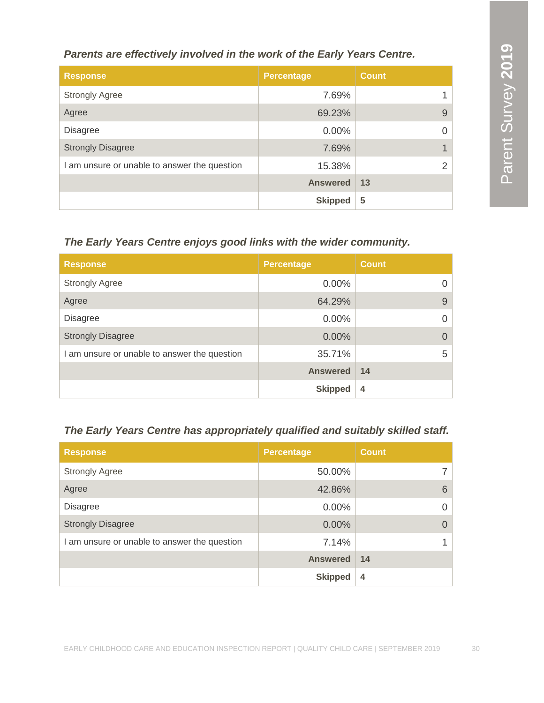*Parents are effectively involved in the work of the Early Years Centre.*

| <b>Response</b>                              | <b>Percentage</b> | <b>Count</b> |
|----------------------------------------------|-------------------|--------------|
| <b>Strongly Agree</b>                        | 7.69%             |              |
| Agree                                        | 69.23%            | 9            |
| <b>Disagree</b>                              | $0.00\%$          | 0            |
| <b>Strongly Disagree</b>                     | 7.69%             |              |
| I am unsure or unable to answer the question | 15.38%            | 2            |
|                                              | <b>Answered</b>   | 13           |
|                                              | <b>Skipped</b>    | 5            |

#### *The Early Years Centre enjoys good links with the wider community.*

| <b>Response</b>                              | <b>Percentage</b> | <b>Count</b> |
|----------------------------------------------|-------------------|--------------|
| <b>Strongly Agree</b>                        | $0.00\%$          | 0            |
| Agree                                        | 64.29%            | 9            |
| <b>Disagree</b>                              | $0.00\%$          | $\Omega$     |
| <b>Strongly Disagree</b>                     | 0.00%             | $\Omega$     |
| I am unsure or unable to answer the question | 35.71%            | 5            |
|                                              | <b>Answered</b>   | 14           |
|                                              | <b>Skipped</b>    | 4            |

#### *The Early Years Centre has appropriately qualified and suitably skilled staff.*

| <b>Response</b>                              | <b>Percentage</b> | <b>Count</b>   |
|----------------------------------------------|-------------------|----------------|
| <b>Strongly Agree</b>                        | 50.00%            |                |
| Agree                                        | 42.86%            | 6              |
| <b>Disagree</b>                              | $0.00\%$          | $\Omega$       |
| <b>Strongly Disagree</b>                     | 0.00%             | $\Omega$       |
| I am unsure or unable to answer the question | 7.14%             |                |
|                                              | <b>Answered</b>   | 14             |
|                                              | <b>Skipped</b>    | $\overline{4}$ |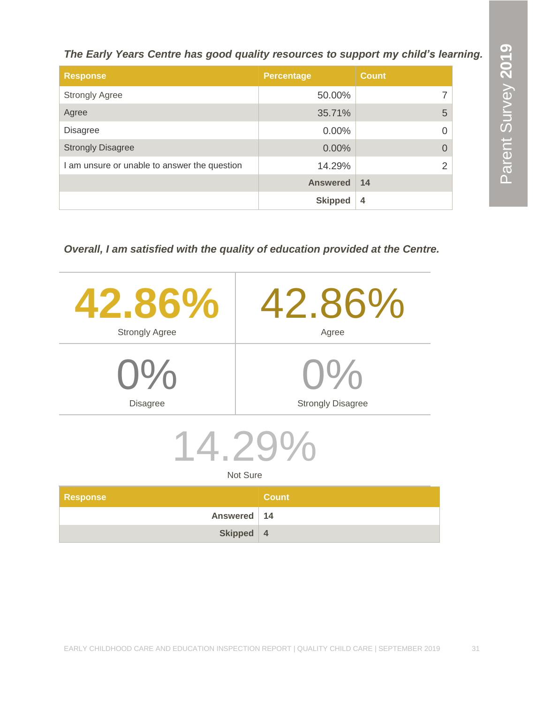*The Early Years Centre has good quality resources to support my child's learning.*

| <b>Response</b>                              | <b>Percentage</b> | <b>Count</b>  |
|----------------------------------------------|-------------------|---------------|
| <b>Strongly Agree</b>                        | 50.00%            | 7             |
| Agree                                        | 35.71%            | 5             |
| <b>Disagree</b>                              | $0.00\%$          | 0             |
| <b>Strongly Disagree</b>                     | 0.00%             | $\Omega$      |
| I am unsure or unable to answer the question | 14.29%            | $\mathcal{P}$ |
|                                              | <b>Answered</b>   | 14            |
|                                              | <b>Skipped</b>    | 4             |

*Overall, I am satisfied with the quality of education provided at the Centre.*

|                       | 42.86%<br><b>Strongly Agree</b> | 42.86%<br>Agree                    |
|-----------------------|---------------------------------|------------------------------------|
|                       | $O\%$<br><b>Disagree</b>        | $()$ %<br><b>Strongly Disagree</b> |
| $14.29\%$<br>Not Sure |                                 |                                    |
| <b>Response</b>       |                                 | <b>Count</b>                       |

|               | - - - - - - - - - |
|---------------|-------------------|
| Answered   14 |                   |
| Skipped $ 4$  |                   |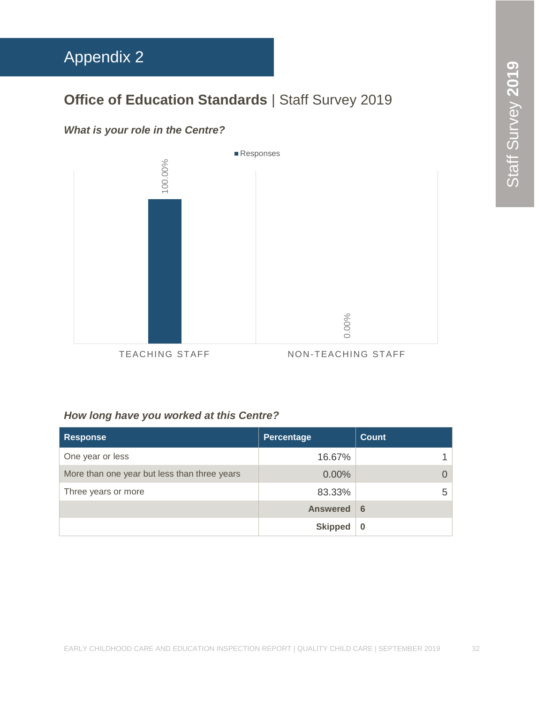# <span id="page-32-0"></span>Appendix 2

### **Office of Education Standards** | Staff Survey 2019

#### *What is your role in the Centre?*



#### *How long have you worked at this Centre?*

| <b>Response</b>                              | Percentage      | <b>Count</b> |
|----------------------------------------------|-----------------|--------------|
| One year or less                             | 16.67%          |              |
| More than one year but less than three years | $0.00\%$        |              |
| Three years or more                          | 83.33%          | 5            |
|                                              | <b>Answered</b> | 6            |
|                                              | <b>Skipped</b>  | $\bf{0}$     |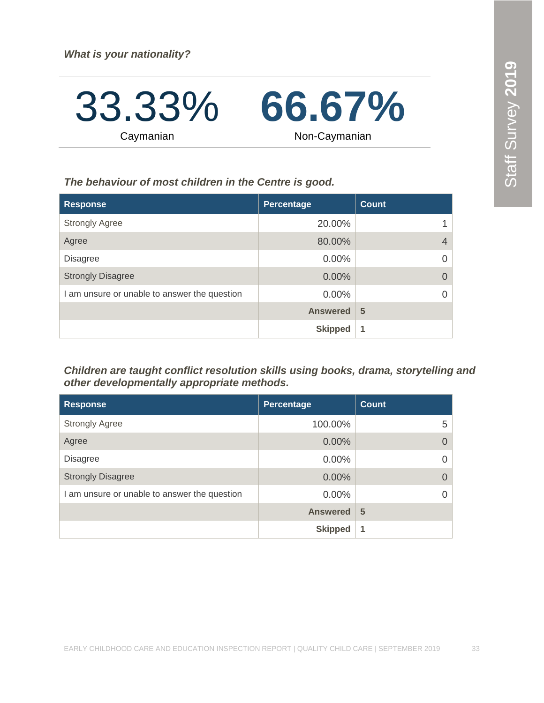33.33% Caymanian **66.67%** Non-Caymanian

*The behaviour of most children in the Centre is good.*

| <b>Response</b>                              | Percentage      | <b>Count</b>   |
|----------------------------------------------|-----------------|----------------|
| <b>Strongly Agree</b>                        | 20.00%          |                |
| Agree                                        | 80.00%          | $\overline{4}$ |
| <b>Disagree</b>                              | $0.00\%$        | $\Omega$       |
| <b>Strongly Disagree</b>                     | 0.00%           | $\Omega$       |
| I am unsure or unable to answer the question | $0.00\%$        | $\Omega$       |
|                                              | <b>Answered</b> | 5              |
|                                              | <b>Skipped</b>  | 1              |

*Children are taught conflict resolution skills using books, drama, storytelling and other developmentally appropriate methods.*

| <b>Response</b>                              | <b>Percentage</b> | <b>Count</b> |
|----------------------------------------------|-------------------|--------------|
| <b>Strongly Agree</b>                        | 100.00%           | 5            |
| Agree                                        | $0.00\%$          |              |
| <b>Disagree</b>                              | $0.00\%$          |              |
| <b>Strongly Disagree</b>                     | $0.00\%$          |              |
| I am unsure or unable to answer the question | $0.00\%$          |              |
|                                              | <b>Answered</b>   | 5            |
|                                              | <b>Skipped</b>    | 1            |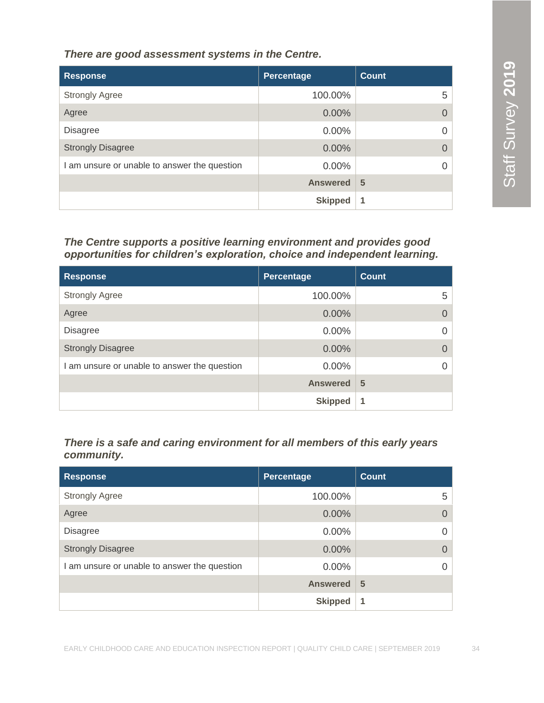*There are good assessment systems in the Centre.*

| <b>Response</b>                              | Percentage      | Count |
|----------------------------------------------|-----------------|-------|
| <b>Strongly Agree</b>                        | 100.00%         | 5     |
| Agree                                        | 0.00%           |       |
| <b>Disagree</b>                              | 0.00%           |       |
| <b>Strongly Disagree</b>                     | $0.00\%$        |       |
| I am unsure or unable to answer the question | $0.00\%$        |       |
|                                              | <b>Answered</b> | 5     |
|                                              | <b>Skipped</b>  | 1     |

#### *The Centre supports a positive learning environment and provides good opportunities for children's exploration, choice and independent learning.*

| <b>Response</b>                              | <b>Percentage</b> | Count    |
|----------------------------------------------|-------------------|----------|
| <b>Strongly Agree</b>                        | 100.00%           | 5        |
| Agree                                        | $0.00\%$          | $\Omega$ |
| <b>Disagree</b>                              | $0.00\%$          | 0        |
| <b>Strongly Disagree</b>                     | 0.00%             | $\Omega$ |
| I am unsure or unable to answer the question | $0.00\%$          | $\Omega$ |
|                                              | <b>Answered</b>   | 5        |
|                                              | <b>Skipped</b>    | 1        |

#### *There is a safe and caring environment for all members of this early years community.*

| <b>Response</b>                              | Percentage      | Count       |
|----------------------------------------------|-----------------|-------------|
| <b>Strongly Agree</b>                        | 100.00%         | 5           |
| Agree                                        | 0.00%           | $\Omega$    |
| <b>Disagree</b>                              | 0.00%           | 0           |
| <b>Strongly Disagree</b>                     | $0.00\%$        | $\Omega$    |
| I am unsure or unable to answer the question | $0.00\%$        | $\Omega$    |
|                                              | <b>Answered</b> | 5           |
|                                              | <b>Skipped</b>  | $\mathbf 1$ |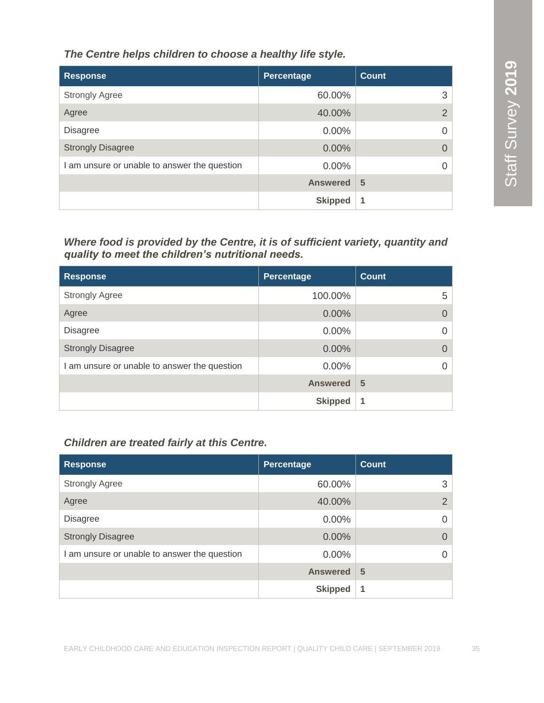*The Centre helps children to choose a healthy life style.*

| <b>Response</b>                              | Percentage      | <b>Count</b>   |
|----------------------------------------------|-----------------|----------------|
| <b>Strongly Agree</b>                        | 60.00%          | 3              |
| Agree                                        | 40.00%          | $\overline{2}$ |
| <b>Disagree</b>                              | $0.00\%$        | 0              |
| <b>Strongly Disagree</b>                     | 0.00%           |                |
| I am unsure or unable to answer the question | $0.00\%$        |                |
|                                              | <b>Answered</b> | 5              |
|                                              | <b>Skipped</b>  | 1              |

*Where food is provided by the Centre, it is of sufficient variety, quantity and quality to meet the children's nutritional needs.* 

| <b>Response</b>                              | Percentage      | <b>Count</b> |
|----------------------------------------------|-----------------|--------------|
| <b>Strongly Agree</b>                        | 100.00%         | 5            |
| Agree                                        | 0.00%           | $\Omega$     |
| <b>Disagree</b>                              | $0.00\%$        |              |
| <b>Strongly Disagree</b>                     | 0.00%           |              |
| I am unsure or unable to answer the question | 0.00%           |              |
|                                              | <b>Answered</b> | 5            |
|                                              | <b>Skipped</b>  | 1            |

#### *Children are treated fairly at this Centre.*

| <b>Response</b>                              | <b>Percentage</b> | <b>Count</b>   |
|----------------------------------------------|-------------------|----------------|
| <b>Strongly Agree</b>                        | 60.00%            | 3              |
| Agree                                        | 40.00%            | $\overline{2}$ |
| <b>Disagree</b>                              | 0.00%             | 0              |
| <b>Strongly Disagree</b>                     | 0.00%             | $\Omega$       |
| I am unsure or unable to answer the question | 0.00%             |                |
|                                              | <b>Answered</b>   | 5              |
|                                              | <b>Skipped</b>    | 1              |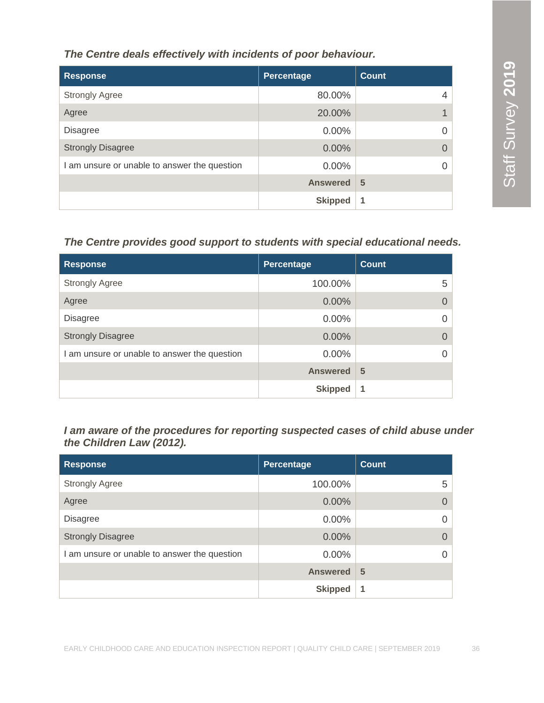#### *The Centre deals effectively with incidents of poor behaviour.*

| <b>Response</b>                              | Percentage      | <b>Count</b> |
|----------------------------------------------|-----------------|--------------|
| <b>Strongly Agree</b>                        | 80.00%          | 4            |
| Agree                                        | 20.00%          |              |
| <b>Disagree</b>                              | $0.00\%$        |              |
| <b>Strongly Disagree</b>                     | 0.00%           |              |
| I am unsure or unable to answer the question | 0.00%           |              |
|                                              | <b>Answered</b> | 5            |
|                                              | <b>Skipped</b>  | 1            |

#### *The Centre provides good support to students with special educational needs.*

| <b>Response</b>                              | Percentage      | <b>Count</b> |
|----------------------------------------------|-----------------|--------------|
| <b>Strongly Agree</b>                        | 100.00%         | 5            |
| Agree                                        | 0.00%           |              |
| <b>Disagree</b>                              | $0.00\%$        |              |
| <b>Strongly Disagree</b>                     | 0.00%           |              |
| I am unsure or unable to answer the question | 0.00%           |              |
|                                              | <b>Answered</b> | 5            |
|                                              | <b>Skipped</b>  | 1            |

*I am aware of the procedures for reporting suspected cases of child abuse under the Children Law (2012).*

| <b>Response</b>                              | Percentage      | <b>Count</b> |
|----------------------------------------------|-----------------|--------------|
| <b>Strongly Agree</b>                        | 100.00%         | 5            |
| Agree                                        | 0.00%           |              |
| <b>Disagree</b>                              | $0.00\%$        |              |
| <b>Strongly Disagree</b>                     | 0.00%           |              |
| I am unsure or unable to answer the question | $0.00\%$        |              |
|                                              | <b>Answered</b> | 5            |
|                                              | <b>Skipped</b>  | 1            |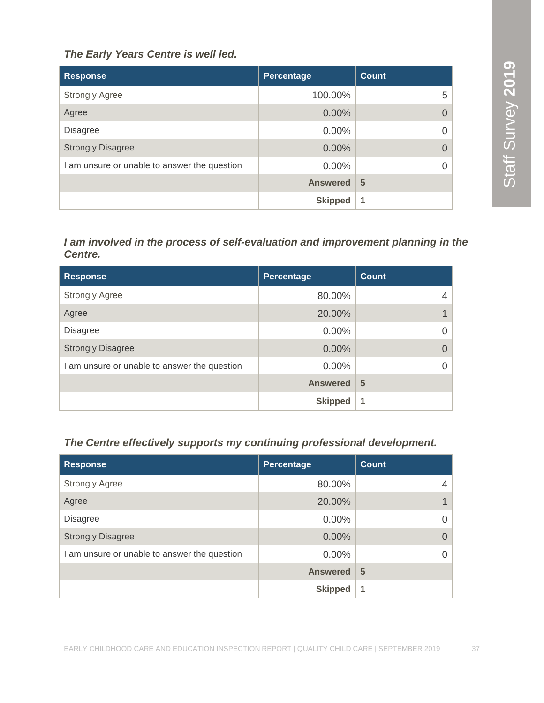#### *The Early Years Centre is well led.*

| <b>Response</b>                              | Percentage      | Count    |
|----------------------------------------------|-----------------|----------|
| <b>Strongly Agree</b>                        | 100.00%         | 5        |
| Agree                                        | 0.00%           | $\Omega$ |
| <b>Disagree</b>                              | $0.00\%$        | $\Omega$ |
| <b>Strongly Disagree</b>                     | $0.00\%$        | $\Omega$ |
| I am unsure or unable to answer the question | $0.00\%$        | $\Omega$ |
|                                              | <b>Answered</b> | 5        |
|                                              | <b>Skipped</b>  | 1        |

#### *I am involved in the process of self-evaluation and improvement planning in the Centre.*

| <b>Response</b>                            | <b>Percentage</b> | <b>Count</b> |
|--------------------------------------------|-------------------|--------------|
| <b>Strongly Agree</b>                      | 80.00%            | 4            |
| Agree                                      | 20.00%            |              |
| <b>Disagree</b>                            | $0.00\%$          |              |
| <b>Strongly Disagree</b>                   | 0.00%             |              |
| am unsure or unable to answer the question | 0.00%             |              |
|                                            | <b>Answered</b>   | 5            |
|                                            | <b>Skipped</b>    | 1            |

#### *The Centre effectively supports my continuing professional development.*

| <b>Response</b>                              | Percentage      | Count    |
|----------------------------------------------|-----------------|----------|
| <b>Strongly Agree</b>                        | 80.00%          | 4        |
| Agree                                        | 20.00%          | 1        |
| <b>Disagree</b>                              | $0.00\%$        | $\Omega$ |
| <b>Strongly Disagree</b>                     | $0.00\%$        | $\Omega$ |
| I am unsure or unable to answer the question | $0.00\%$        | $\Omega$ |
|                                              | <b>Answered</b> | 5        |
|                                              | <b>Skipped</b>  | 1        |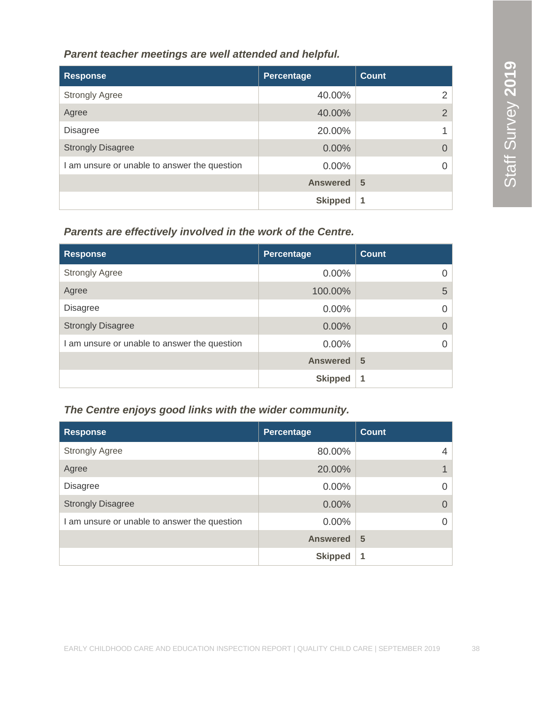#### *Parent teacher meetings are well attended and helpful.*

| <b>Response</b>                              | Percentage      | <b>Count</b>   |
|----------------------------------------------|-----------------|----------------|
| <b>Strongly Agree</b>                        | 40.00%          | 2              |
| Agree                                        | 40.00%          | $\overline{2}$ |
| <b>Disagree</b>                              | 20.00%          |                |
| <b>Strongly Disagree</b>                     | 0.00%           |                |
| I am unsure or unable to answer the question | $0.00\%$        |                |
|                                              | <b>Answered</b> | 5              |
|                                              | <b>Skipped</b>  | 1              |

#### *Parents are effectively involved in the work of the Centre.*

| <b>Response</b>                              | Percentage      | <b>Count</b> |
|----------------------------------------------|-----------------|--------------|
| <b>Strongly Agree</b>                        | 0.00%           |              |
| Agree                                        | 100.00%         | 5            |
| <b>Disagree</b>                              | 0.00%           |              |
| <b>Strongly Disagree</b>                     | 0.00%           | $\Omega$     |
| I am unsure or unable to answer the question | 0.00%           |              |
|                                              | <b>Answered</b> | 5            |
|                                              | <b>Skipped</b>  | 1            |

#### *The Centre enjoys good links with the wider community.*

| <b>Response</b>                              | Percentage      | <b>Count</b> |
|----------------------------------------------|-----------------|--------------|
| <b>Strongly Agree</b>                        | 80.00%          | 4            |
| Agree                                        | 20.00%          |              |
| <b>Disagree</b>                              | $0.00\%$        | 0            |
| <b>Strongly Disagree</b>                     | $0.00\%$        | $\Omega$     |
| I am unsure or unable to answer the question | $0.00\%$        | $\Omega$     |
|                                              | <b>Answered</b> | 5            |
|                                              | <b>Skipped</b>  | 1            |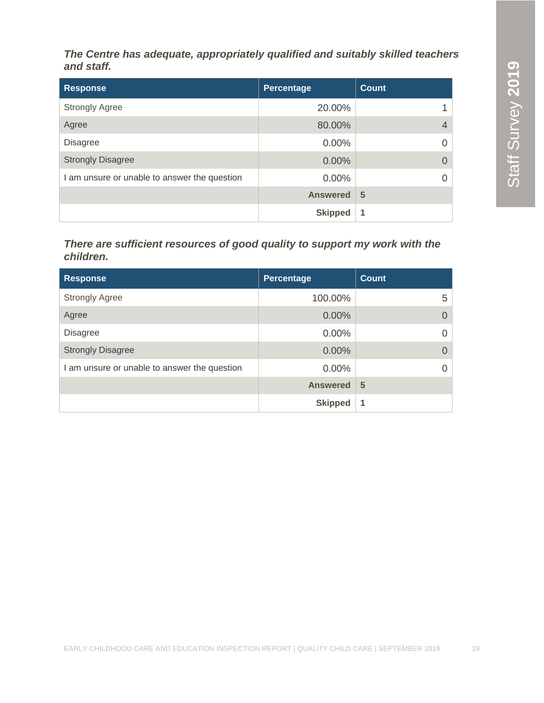#### *The Centre has adequate, appropriately qualified and suitably skilled teachers and staff.*

| <b>Response</b>                              | Percentage      | <b>Count</b>   |
|----------------------------------------------|-----------------|----------------|
| <b>Strongly Agree</b>                        | 20.00%          |                |
| Agree                                        | 80.00%          | $\overline{4}$ |
| <b>Disagree</b>                              | $0.00\%$        | $\Omega$       |
| <b>Strongly Disagree</b>                     | $0.00\%$        | $\Omega$       |
| I am unsure or unable to answer the question | $0.00\%$        | $\Omega$       |
|                                              | <b>Answered</b> | 5              |
|                                              | <b>Skipped</b>  | 1              |

#### *There are sufficient resources of good quality to support my work with the children.*

| <b>Response</b>                              | Percentage      | <b>Count</b>   |
|----------------------------------------------|-----------------|----------------|
| <b>Strongly Agree</b>                        | 100.00%         | 5              |
| Agree                                        | $0.00\%$        | $\overline{0}$ |
| <b>Disagree</b>                              | 0.00%           | 0              |
| <b>Strongly Disagree</b>                     | 0.00%           | $\Omega$       |
| I am unsure or unable to answer the question | $0.00\%$        | $\Omega$       |
|                                              | <b>Answered</b> | 5              |
|                                              | <b>Skipped</b>  | 1              |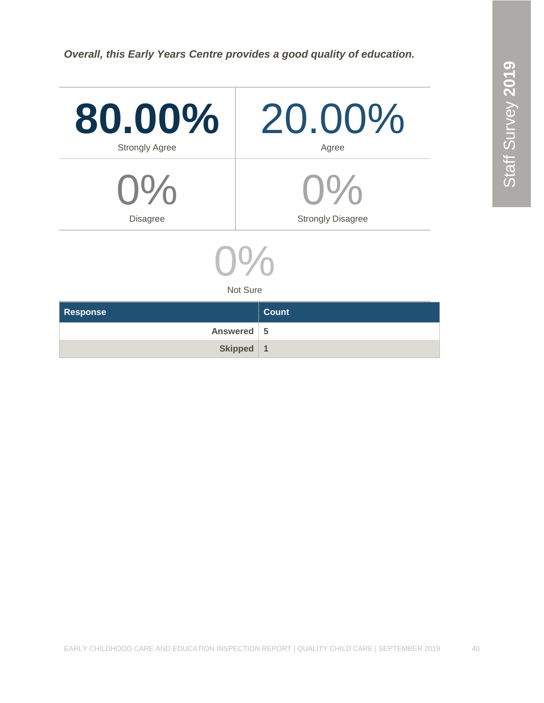*Overall, this Early Years Centre provides a good quality of education.*

| 80.00%<br><b>Strongly Agree</b> | 20.00%<br>Agree          |  |
|---------------------------------|--------------------------|--|
| $O\%$                           | $9\%$                    |  |
| <b>Disagree</b>                 | <b>Strongly Disagree</b> |  |

0  $\%$ 

Not Sure

| <b>Response</b> | Count |
|-----------------|-------|
| Answered 5      |       |
| Skipped   1     |       |